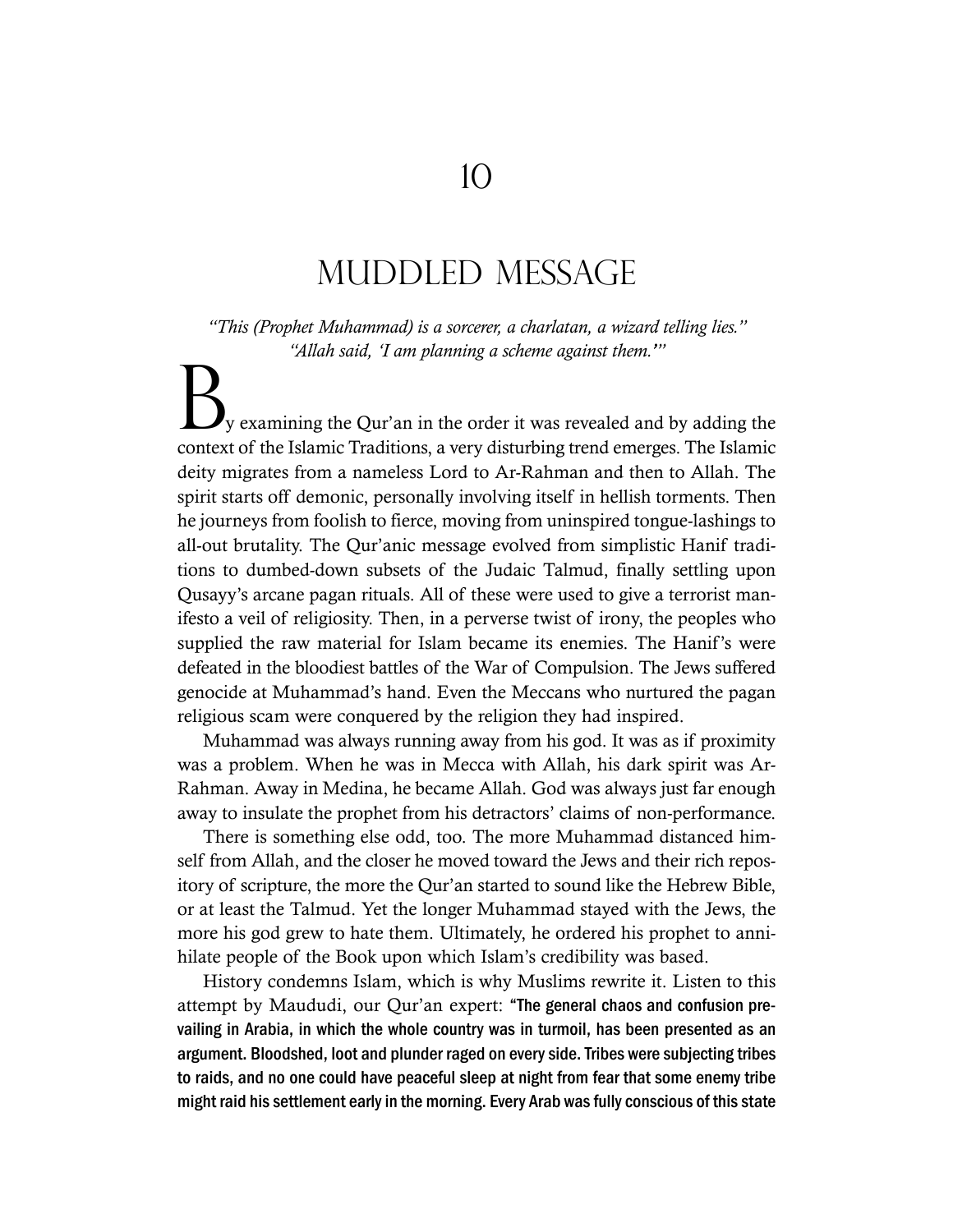## MUDDLED MESSAGE

*"This (Prophet Muhammad) is a sorcerer, a charlatan, a wizard telling lies." "Allah said, 'I am planning a scheme against them.'"*

y examining the Qur'an in the order it was revealed and by adding the context of the Islamic Traditions, a very disturbing trend emerges. The Islamic deity migrates from a nameless Lord to Ar-Rahman and then to Allah. The spirit starts off demonic, personally involving itself in hellish torments. Then he journeys from foolish to fierce, moving from uninspired tongue-lashings to all-out brutality. The Qur'anic message evolved from simplistic Hanif traditions to dumbed-down subsets of the Judaic Talmud, finally settling upon Qusayy's arcane pagan rituals. All of these were used to give a terrorist manifesto a veil of religiosity. Then, in a perverse twist of irony, the peoples who supplied the raw material for Islam became its enemies. The Hanif's were defeated in the bloodiest battles of the War of Compulsion. The Jews suffered genocide at Muhammad's hand. Even the Meccans who nurtured the pagan religious scam were conquered by the religion they had inspired.

Muhammad was always running away from his god. It was as if proximity was a problem. When he was in Mecca with Allah, his dark spirit was Ar-Rahman. Away in Medina, he became Allah. God was always just far enough away to insulate the prophet from his detractors' claims of non-performance.

There is something else odd, too. The more Muhammad distanced himself from Allah, and the closer he moved toward the Jews and their rich repository of scripture, the more the Qur'an started to sound like the Hebrew Bible, or at least the Talmud. Yet the longer Muhammad stayed with the Jews, the more his god grew to hate them. Ultimately, he ordered his prophet to annihilate people of the Book upon which Islam's credibility was based.

History condemns Islam, which is why Muslims rewrite it. Listen to this attempt by Maududi, our Qur'an expert: "The general chaos and confusion prevailing in Arabia, in which the whole country was in turmoil, has been presented as an argument. Bloodshed, loot and plunder raged on every side. Tribes were subjecting tribes to raids, and no one could have peaceful sleep at night from fear that some enemy tribe might raid his settlement early in the morning. Every Arab was fully conscious of this state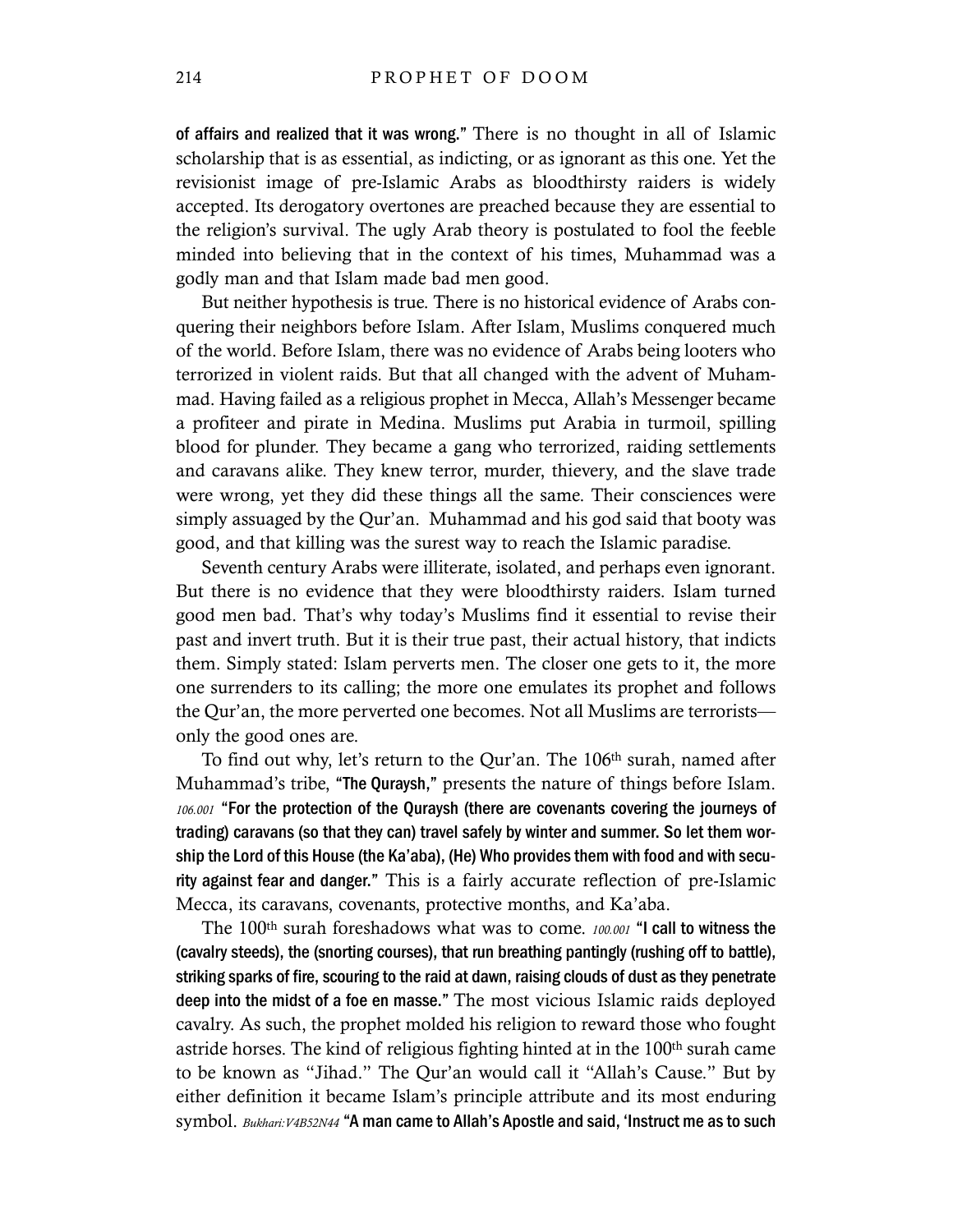of affairs and realized that it was wrong." There is no thought in all of Islamic scholarship that is as essential, as indicting, or as ignorant as this one. Yet the revisionist image of pre-Islamic Arabs as bloodthirsty raiders is widely accepted. Its derogatory overtones are preached because they are essential to the religion's survival. The ugly Arab theory is postulated to fool the feeble minded into believing that in the context of his times, Muhammad was a godly man and that Islam made bad men good.

But neither hypothesis is true. There is no historical evidence of Arabs conquering their neighbors before Islam. After Islam, Muslims conquered much of the world. Before Islam, there was no evidence of Arabs being looters who terrorized in violent raids. But that all changed with the advent of Muhammad. Having failed as a religious prophet in Mecca, Allah's Messenger became a profiteer and pirate in Medina. Muslims put Arabia in turmoil, spilling blood for plunder. They became a gang who terrorized, raiding settlements and caravans alike. They knew terror, murder, thievery, and the slave trade were wrong, yet they did these things all the same. Their consciences were simply assuaged by the Qur'an. Muhammad and his god said that booty was good, and that killing was the surest way to reach the Islamic paradise.

Seventh century Arabs were illiterate, isolated, and perhaps even ignorant. But there is no evidence that they were bloodthirsty raiders. Islam turned good men bad. That's why today's Muslims find it essential to revise their past and invert truth. But it is their true past, their actual history, that indicts them. Simply stated: Islam perverts men. The closer one gets to it, the more one surrenders to its calling; the more one emulates its prophet and follows the Qur'an, the more perverted one becomes. Not all Muslims are terrorists only the good ones are.

To find out why, let's return to the Qur'an. The 106th surah, named after Muhammad's tribe, "The Quraysh," presents the nature of things before Islam. *106.001* "For the protection of the Quraysh (there are covenants covering the journeys of trading) caravans (so that they can) travel safely by winter and summer. So let them worship the Lord of this House (the Ka'aba), (He) Who provides them with food and with security against fear and danger." This is a fairly accurate reflection of pre-Islamic Mecca, its caravans, covenants, protective months, and Ka'aba.

The 100th surah foreshadows what was to come. *100.001* "I call to witness the (cavalry steeds), the (snorting courses), that run breathing pantingly (rushing off to battle), striking sparks of fire, scouring to the raid at dawn, raising clouds of dust as they penetrate deep into the midst of a foe en masse." The most vicious Islamic raids deployed cavalry. As such, the prophet molded his religion to reward those who fought astride horses. The kind of religious fighting hinted at in the 100<sup>th</sup> surah came to be known as "Jihad." The Qur'an would call it "Allah's Cause." But by either definition it became Islam's principle attribute and its most enduring symbol. *Bukhari:V4B52N44* "A man came to Allah's Apostle and said, 'Instruct me as to such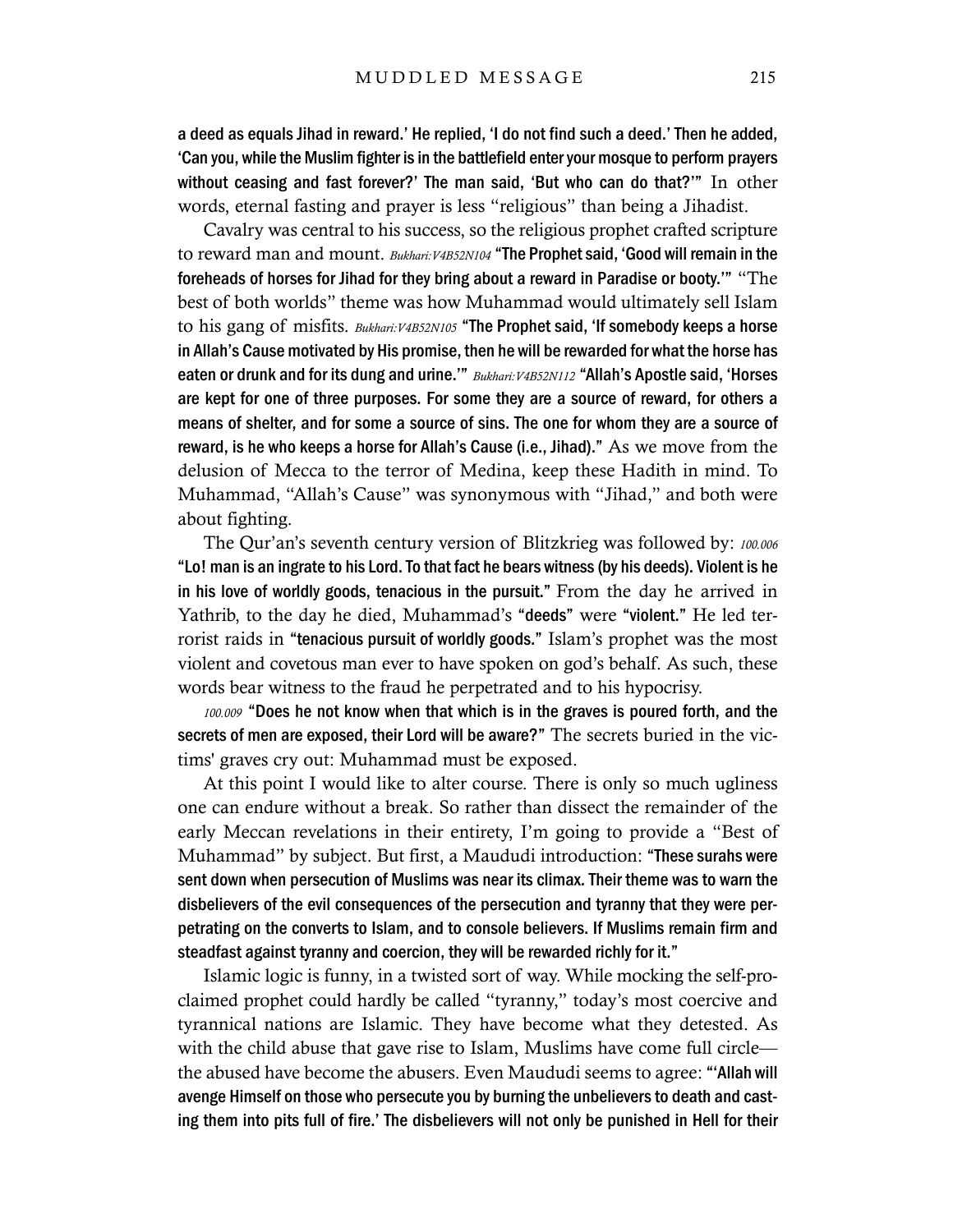a deed as equals Jihad in reward.' He replied, 'I do not find such a deed.' Then he added, 'Can you, while the Muslim fighter is in the battlefield enter your mosque to perform prayers without ceasing and fast forever?' The man said, 'But who can do that?'" In other words, eternal fasting and prayer is less "religious" than being a Jihadist.

Cavalry was central to his success, so the religious prophet crafted scripture to reward man and mount. *Bukhari: V4B52N104* "The Prophet said, 'Good will remain in the foreheads of horses for Jihad for they bring about a reward in Paradise or booty.'" "The best of both worlds" theme was how Muhammad would ultimately sell Islam to his gang of misfits. *Bukhari:V4B52N105* "The Prophet said, 'If somebody keeps a horse in Allah's Cause motivated by His promise, then he will be rewarded for what the horse has eaten or drunk and for its dung and urine."" **Bukhari:V4B52N112** "Allah's Apostle said, 'Horses are kept for one of three purposes. For some they are a source of reward, for others a means of shelter, and for some a source of sins. The one for whom they are a source of reward, is he who keeps a horse for Allah's Cause (i.e., Jihad)." As we move from the delusion of Mecca to the terror of Medina, keep these Hadith in mind. To Muhammad, "Allah's Cause" was synonymous with "Jihad," and both were about fighting.

The Qur'an's seventh century version of Blitzkrieg was followed by: *100.006* "Lo! man is an ingrate to his Lord. To that fact he bears witness (by his deeds). Violent is he in his love of worldly goods, tenacious in the pursuit." From the day he arrived in Yathrib, to the day he died, Muhammad's "deeds" were "violent." He led terrorist raids in "tenacious pursuit of worldly goods." Islam's prophet was the most violent and covetous man ever to have spoken on god's behalf. As such, these words bear witness to the fraud he perpetrated and to his hypocrisy.

*100.009* "Does he not know when that which is in the graves is poured forth, and the secrets of men are exposed, their Lord will be aware?" The secrets buried in the victims' graves cry out: Muhammad must be exposed.

At this point I would like to alter course. There is only so much ugliness one can endure without a break. So rather than dissect the remainder of the early Meccan revelations in their entirety, I'm going to provide a "Best of Muhammad" by subject. But first, a Maududi introduction: "These surahs were sent down when persecution of Muslims was near its climax. Their theme was to warn the disbelievers of the evil consequences of the persecution and tyranny that they were perpetrating on the converts to Islam, and to console believers. If Muslims remain firm and steadfast against tyranny and coercion, they will be rewarded richly for it."

Islamic logic is funny, in a twisted sort of way. While mocking the self-proclaimed prophet could hardly be called "tyranny," today's most coercive and tyrannical nations are Islamic. They have become what they detested. As with the child abuse that gave rise to Islam, Muslims have come full circle the abused have become the abusers. Even Maududi seems to agree: "'Allah will avenge Himself on those who persecute you by burning the unbelievers to death and casting them into pits full of fire.' The disbelievers will not only be punished in Hell for their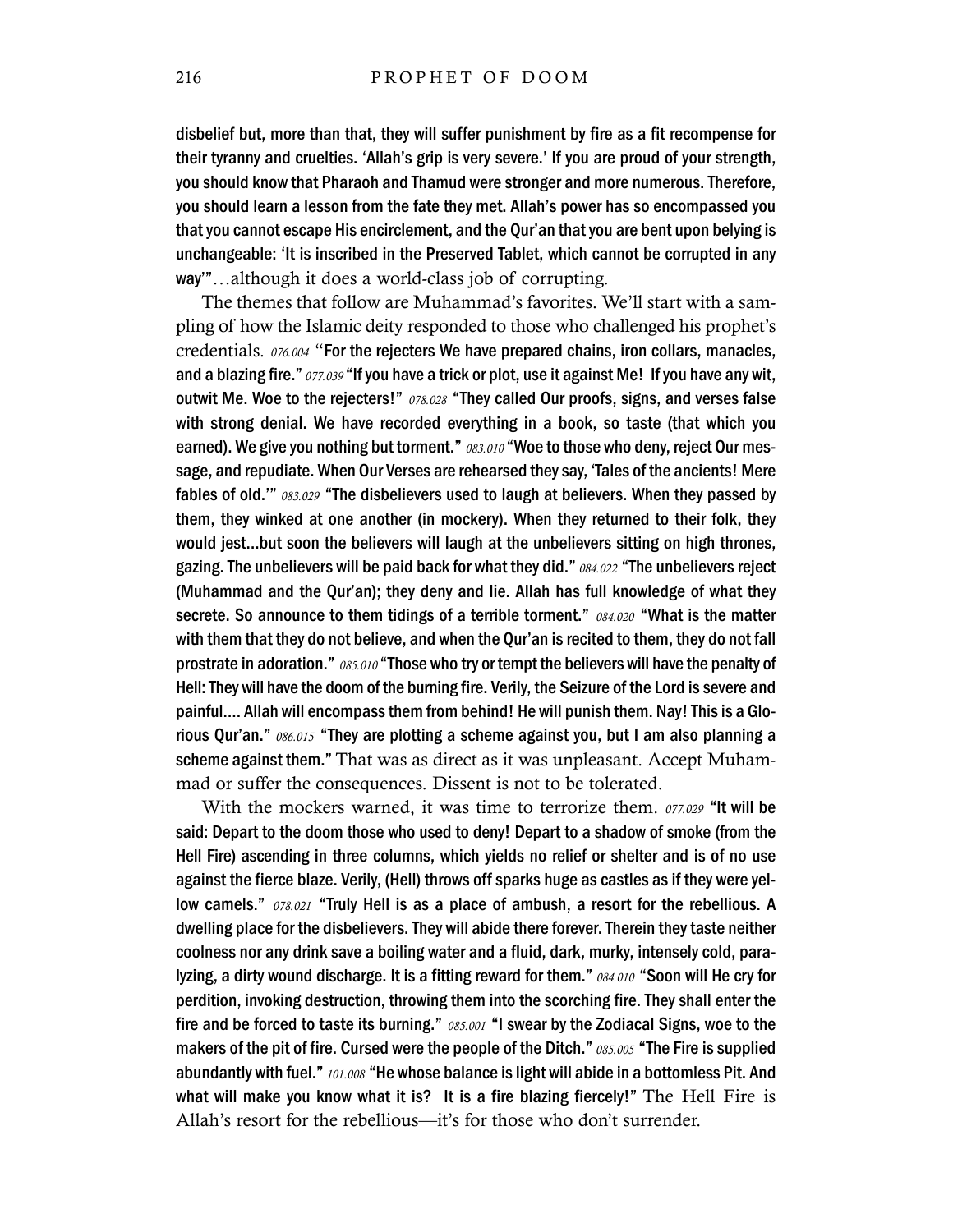disbelief but, more than that, they will suffer punishment by fire as a fit recompense for their tyranny and cruelties. 'Allah's grip is very severe.' If you are proud of your strength, you should know that Pharaoh and Thamud were stronger and more numerous. Therefore, you should learn a lesson from the fate they met. Allah's power has so encompassed you that you cannot escape His encirclement, and the Qur'an that you are bent upon belying is unchangeable: 'It is inscribed in the Preserved Tablet, which cannot be corrupted in any way'"…although it does a world-class job of corrupting.

The themes that follow are Muhammad's favorites. We'll start with a sampling of how the Islamic deity responded to those who challenged his prophet's credentials. *076.004* "For the rejecters We have prepared chains, iron collars, manacles, and a blazing fire." *077.039* "If you have a trick or plot, use it against Me! If you have any wit, outwit Me. Woe to the rejecters!" *078.028* "They called Our proofs, signs, and verses false with strong denial. We have recorded everything in a book, so taste (that which you earned). We give you nothing but torment." *083.010* "Woe to those who deny, reject Our message, and repudiate. When Our Verses are rehearsed they say, 'Tales of the ancients! Mere fables of old.'" *083.029* "The disbelievers used to laugh at believers. When they passed by them, they winked at one another (in mockery). When they returned to their folk, they would jest…but soon the believers will laugh at the unbelievers sitting on high thrones, gazing. The unbelievers will be paid back for what they did." *084.022* "The unbelievers reject (Muhammad and the Qur'an); they deny and lie. Allah has full knowledge of what they secrete. So announce to them tidings of a terrible torment." *084.020* "What is the matter with them that they do not believe, and when the Qur'an is recited to them, they do not fall prostrate in adoration." *085.010* "Those who try or tempt the believers will have the penalty of Hell: They will have the doom of the burning fire. Verily, the Seizure of the Lord is severe and painful…. Allah will encompass them from behind! He will punish them. Nay! This is a Glorious Qur'an." *086.015* "They are plotting a scheme against you, but I am also planning a scheme against them." That was as direct as it was unpleasant. Accept Muhammad or suffer the consequences. Dissent is not to be tolerated.

With the mockers warned, it was time to terrorize them. *077.029* "It will be said: Depart to the doom those who used to deny! Depart to a shadow of smoke (from the Hell Fire) ascending in three columns, which yields no relief or shelter and is of no use against the fierce blaze. Verily, (Hell) throws off sparks huge as castles as if they were yellow camels." *078.021* "Truly Hell is as a place of ambush, a resort for the rebellious. A dwelling place for the disbelievers. They will abide there forever. Therein they taste neither coolness nor any drink save a boiling water and a fluid, dark, murky, intensely cold, paralyzing, a dirty wound discharge. It is a fitting reward for them." *084.010* "Soon will He cry for perdition, invoking destruction, throwing them into the scorching fire. They shall enter the fire and be forced to taste its burning." *085.001* "I swear by the Zodiacal Signs, woe to the makers of the pit of fire. Cursed were the people of the Ditch." *085.005* "The Fire is supplied abundantly with fuel." *101.008* "He whose balance is light will abide in a bottomless Pit. And what will make you know what it is? It is a fire blazing fiercely!" The Hell Fire is Allah's resort for the rebellious—it's for those who don't surrender.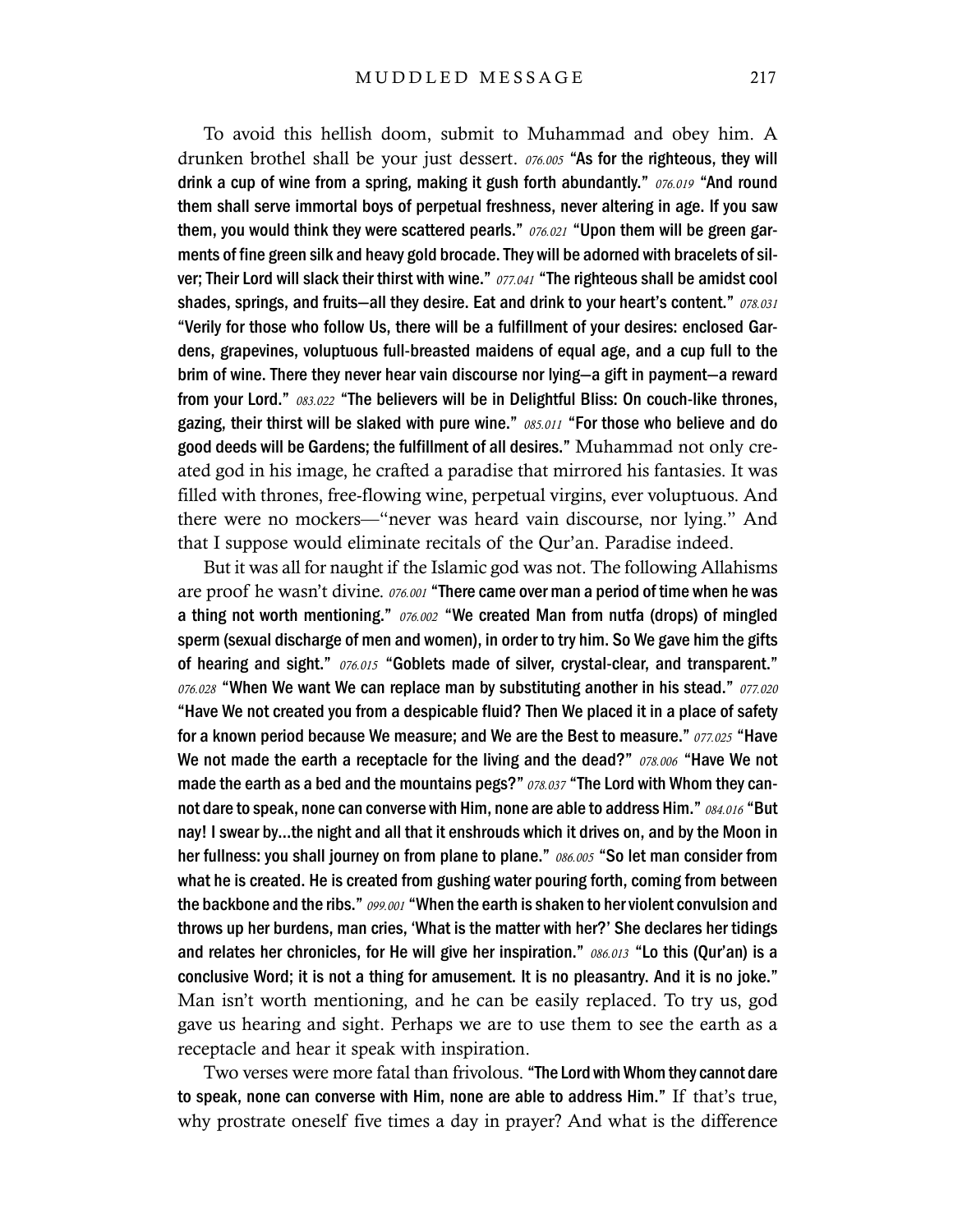To avoid this hellish doom, submit to Muhammad and obey him. A drunken brothel shall be your just dessert. *076.005* "As for the righteous, they will drink a cup of wine from a spring, making it gush forth abundantly." *076.019* "And round them shall serve immortal boys of perpetual freshness, never altering in age. If you saw them, you would think they were scattered pearls." *076.021* "Upon them will be green garments of fine green silk and heavy gold brocade. They will be adorned with bracelets of silver; Their Lord will slack their thirst with wine." *077.041* "The righteous shall be amidst cool shades, springs, and fruits—all they desire. Eat and drink to your heart's content." *078.031* "Verily for those who follow Us, there will be a fulfillment of your desires: enclosed Gardens, grapevines, voluptuous full-breasted maidens of equal age, and a cup full to the brim of wine. There they never hear vain discourse nor lying—a gift in payment—a reward from your Lord." *083.022* "The believers will be in Delightful Bliss: On couch-like thrones, gazing, their thirst will be slaked with pure wine." *085.011* "For those who believe and do good deeds will be Gardens; the fulfillment of all desires." Muhammad not only created god in his image, he crafted a paradise that mirrored his fantasies. It was filled with thrones, free-flowing wine, perpetual virgins, ever voluptuous. And there were no mockers—"never was heard vain discourse, nor lying." And that I suppose would eliminate recitals of the Qur'an. Paradise indeed.

But it was all for naught if the Islamic god was not. The following Allahisms are proof he wasn't divine. *076.001* "There came over man a period of time when he was a thing not worth mentioning." *076.002* "We created Man from nutfa (drops) of mingled sperm (sexual discharge of men and women), in order to try him. So We gave him the gifts of hearing and sight." *076.015* "Goblets made of silver, crystal-clear, and transparent." *076.028* "When We want We can replace man by substituting another in his stead." *077.020* "Have We not created you from a despicable fluid? Then We placed it in a place of safety for a known period because We measure; and We are the Best to measure." *077.025* "Have We not made the earth a receptacle for the living and the dead?" *078.006* "Have We not made the earth as a bed and the mountains pegs?" *078.037* "The Lord with Whom they cannot dare to speak, none can converse with Him, none are able to address Him." *084.016* "But nay! I swear by…the night and all that it enshrouds which it drives on, and by the Moon in her fullness: you shall journey on from plane to plane." *086.005* "So let man consider from what he is created. He is created from gushing water pouring forth, coming from between the backbone and the ribs." *099.001* "When the earth is shaken to her violent convulsion and throws up her burdens, man cries, 'What is the matter with her?' She declares her tidings and relates her chronicles, for He will give her inspiration." *086.013* "Lo this (Qur'an) is a conclusive Word; it is not a thing for amusement. It is no pleasantry. And it is no joke." Man isn't worth mentioning, and he can be easily replaced. To try us, god gave us hearing and sight. Perhaps we are to use them to see the earth as a receptacle and hear it speak with inspiration.

Two verses were more fatal than frivolous. "The Lord with Whom they cannot dare to speak, none can converse with Him, none are able to address Him." If that's true, why prostrate oneself five times a day in prayer? And what is the difference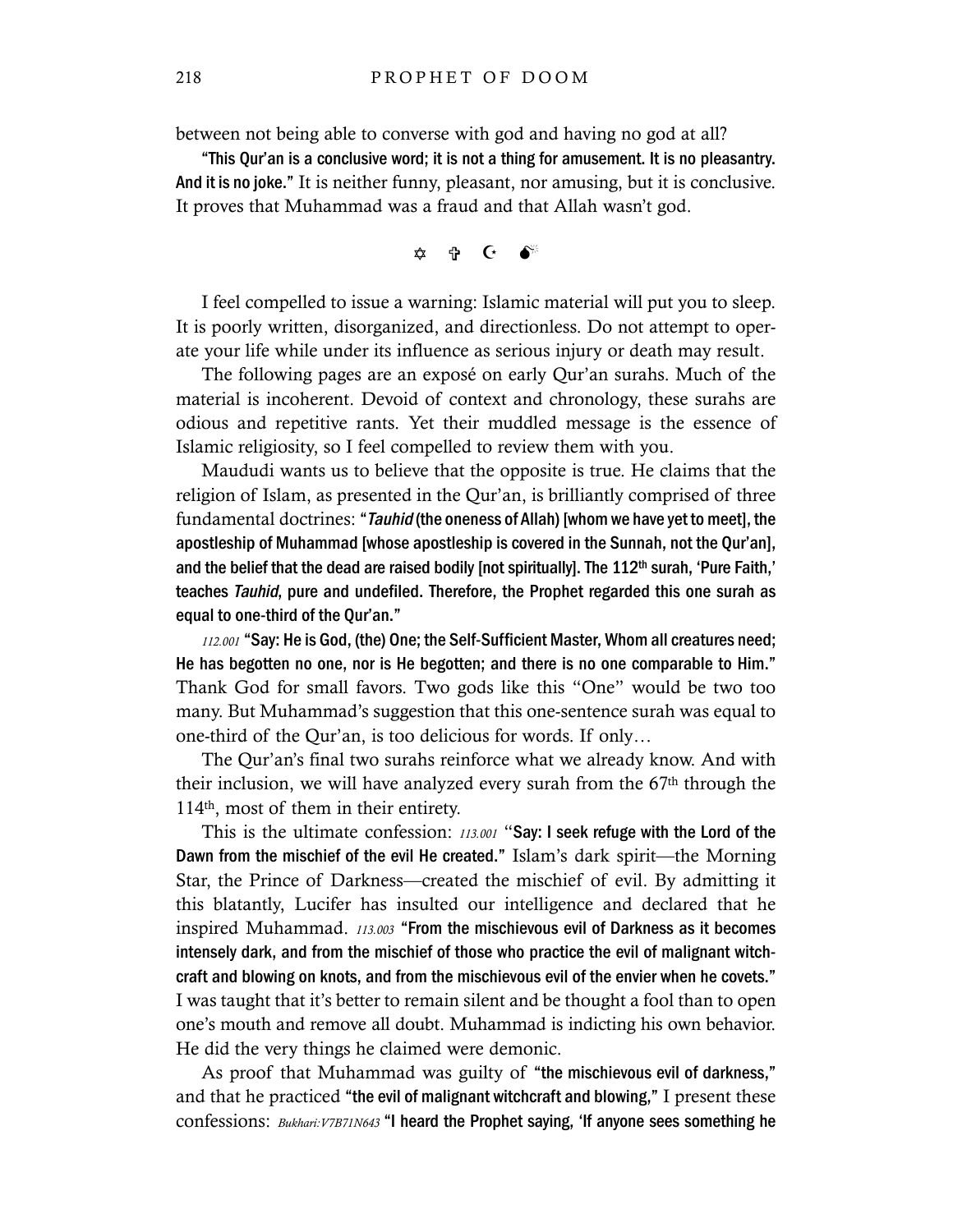between not being able to converse with god and having no god at all?

"This Qur'an is a conclusive word; it is not a thing for amusement. It is no pleasantry. And it is no joke." It is neither funny, pleasant, nor amusing, but it is conclusive. It proves that Muhammad was a fraud and that Allah wasn't god.

**众 中 C 6<sup>※</sup>** 

I feel compelled to issue a warning: Islamic material will put you to sleep. It is poorly written, disorganized, and directionless. Do not attempt to operate your life while under its influence as serious injury or death may result.

The following pages are an exposé on early Qur'an surahs. Much of the material is incoherent. Devoid of context and chronology, these surahs are odious and repetitive rants. Yet their muddled message is the essence of Islamic religiosity, so I feel compelled to review them with you.

Maududi wants us to believe that the opposite is true. He claims that the religion of Islam, as presented in the Qur'an, is brilliantly comprised of three fundamental doctrines: "Tauhid (the oneness of Allah) [whom we have yet to meet], the apostleship of Muhammad [whose apostleship is covered in the Sunnah, not the Qur'an], and the belief that the dead are raised bodily [not spiritually]. The 112<sup>th</sup> surah, 'Pure Faith,' teaches Tauhid, pure and undefiled. Therefore, the Prophet regarded this one surah as equal to one-third of the Qur'an."

*112.001* "Say: He is God, (the) One; the Self-Sufficient Master, Whom all creatures need; He has begotten no one, nor is He begotten; and there is no one comparable to Him." Thank God for small favors. Two gods like this "One" would be two too many. But Muhammad's suggestion that this one-sentence surah was equal to one-third of the Qur'an, is too delicious for words. If only…

The Qur'an's final two surahs reinforce what we already know. And with their inclusion, we will have analyzed every surah from the 67<sup>th</sup> through the 114th, most of them in their entirety.

This is the ultimate confession: *113.001* "Say: I seek refuge with the Lord of the Dawn from the mischief of the evil He created." Islam's dark spirit—the Morning Star, the Prince of Darkness—created the mischief of evil. By admitting it this blatantly, Lucifer has insulted our intelligence and declared that he inspired Muhammad. *113.003* "From the mischievous evil of Darkness as it becomes intensely dark, and from the mischief of those who practice the evil of malignant witchcraft and blowing on knots, and from the mischievous evil of the envier when he covets." I was taught that it's better to remain silent and be thought a fool than to open one's mouth and remove all doubt. Muhammad is indicting his own behavior. He did the very things he claimed were demonic.

As proof that Muhammad was guilty of "the mischievous evil of darkness," and that he practiced "the evil of malignant witchcraft and blowing," I present these confessions: *Bukhari:V7B71N643* "I heard the Prophet saying, 'If anyone sees something he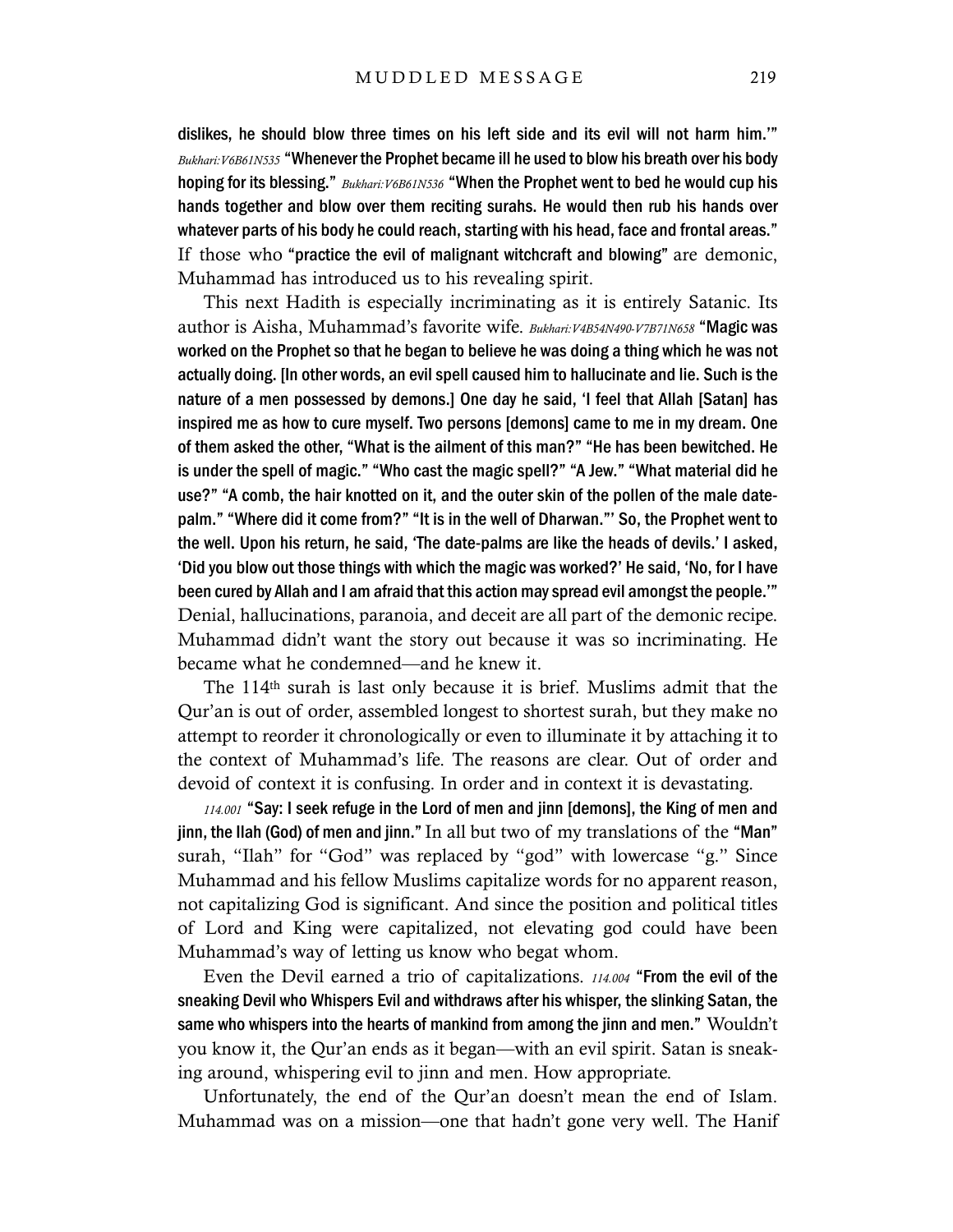dislikes, he should blow three times on his left side and its evil will not harm him.'" *Bukhari:V6B61N535* "Whenever the Prophet became ill he used to blow his breath over his body hoping for its blessing." *Bukhari:V6B61N536* "When the Prophet went to bed he would cup his hands together and blow over them reciting surahs. He would then rub his hands over whatever parts of his body he could reach, starting with his head, face and frontal areas." If those who "practice the evil of malignant witchcraft and blowing" are demonic, Muhammad has introduced us to his revealing spirit.

This next Hadith is especially incriminating as it is entirely Satanic. Its author is Aisha, Muhammad's favorite wife. *Bukhari:V4B54N490-V7B71N658* "Magic was worked on the Prophet so that he began to believe he was doing a thing which he was not actually doing. [In other words, an evil spell caused him to hallucinate and lie. Such is the nature of a men possessed by demons.] One day he said, 'I feel that Allah [Satan] has inspired me as how to cure myself. Two persons [demons] came to me in my dream. One of them asked the other, "What is the ailment of this man?" "He has been bewitched. He is under the spell of magic." "Who cast the magic spell?" "A Jew." "What material did he use?" "A comb, the hair knotted on it, and the outer skin of the pollen of the male datepalm." "Where did it come from?" "It is in the well of Dharwan."' So, the Prophet went to the well. Upon his return, he said, 'The date-palms are like the heads of devils.' I asked, 'Did you blow out those things with which the magic was worked?' He said, 'No, for I have been cured by Allah and I am afraid that this action may spread evil amongst the people.'" Denial, hallucinations, paranoia, and deceit are all part of the demonic recipe. Muhammad didn't want the story out because it was so incriminating. He became what he condemned—and he knew it.

The 114th surah is last only because it is brief. Muslims admit that the Qur'an is out of order, assembled longest to shortest surah, but they make no attempt to reorder it chronologically or even to illuminate it by attaching it to the context of Muhammad's life. The reasons are clear. Out of order and devoid of context it is confusing. In order and in context it is devastating.

*114.001* "Say: I seek refuge in the Lord of men and jinn [demons], the King of men and jinn, the Ilah (God) of men and jinn." In all but two of my translations of the "Man" surah, "Ilah" for "God" was replaced by "god" with lowercase "g." Since Muhammad and his fellow Muslims capitalize words for no apparent reason, not capitalizing God is significant. And since the position and political titles of Lord and King were capitalized, not elevating god could have been Muhammad's way of letting us know who begat whom.

Even the Devil earned a trio of capitalizations. *114.004* "From the evil of the sneaking Devil who Whispers Evil and withdraws after his whisper, the slinking Satan, the same who whispers into the hearts of mankind from among the jinn and men." Wouldn't you know it, the Qur'an ends as it began—with an evil spirit. Satan is sneaking around, whispering evil to jinn and men. How appropriate.

Unfortunately, the end of the Qur'an doesn't mean the end of Islam. Muhammad was on a mission—one that hadn't gone very well. The Hanif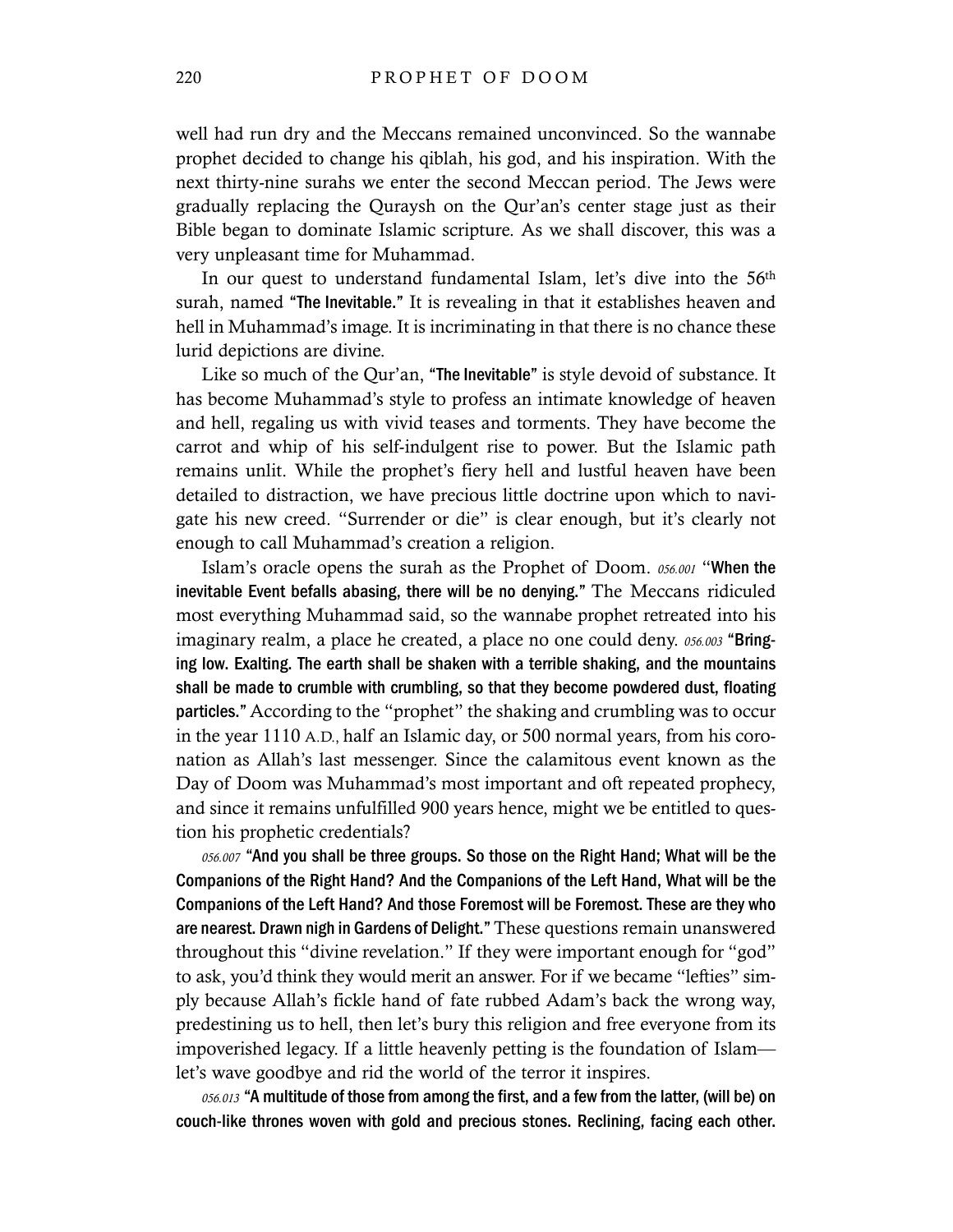well had run dry and the Meccans remained unconvinced. So the wannabe prophet decided to change his qiblah, his god, and his inspiration. With the next thirty-nine surahs we enter the second Meccan period. The Jews were gradually replacing the Quraysh on the Qur'an's center stage just as their Bible began to dominate Islamic scripture. As we shall discover, this was a very unpleasant time for Muhammad.

In our quest to understand fundamental Islam, let's dive into the 56<sup>th</sup> surah, named "The Inevitable." It is revealing in that it establishes heaven and hell in Muhammad's image. It is incriminating in that there is no chance these lurid depictions are divine.

Like so much of the Qur'an, "The Inevitable" is style devoid of substance. It has become Muhammad's style to profess an intimate knowledge of heaven and hell, regaling us with vivid teases and torments. They have become the carrot and whip of his self-indulgent rise to power. But the Islamic path remains unlit. While the prophet's fiery hell and lustful heaven have been detailed to distraction, we have precious little doctrine upon which to navigate his new creed. "Surrender or die" is clear enough, but it's clearly not enough to call Muhammad's creation a religion.

Islam's oracle opens the surah as the Prophet of Doom. *056.001* "When the inevitable Event befalls abasing, there will be no denying." The Meccans ridiculed most everything Muhammad said, so the wannabe prophet retreated into his imaginary realm, a place he created, a place no one could deny. *056.003* "Bringing low. Exalting. The earth shall be shaken with a terrible shaking, and the mountains shall be made to crumble with crumbling, so that they become powdered dust, floating particles." According to the "prophet" the shaking and crumbling was to occur in the year 1110 A.D., half an Islamic day, or 500 normal years, from his coronation as Allah's last messenger. Since the calamitous event known as the Day of Doom was Muhammad's most important and oft repeated prophecy, and since it remains unfulfilled 900 years hence, might we be entitled to question his prophetic credentials?

*056.007* "And you shall be three groups. So those on the Right Hand; What will be the Companions of the Right Hand? And the Companions of the Left Hand, What will be the Companions of the Left Hand? And those Foremost will be Foremost. These are they who are nearest. Drawn nigh in Gardens of Delight." These questions remain unanswered throughout this "divine revelation." If they were important enough for "god" to ask, you'd think they would merit an answer. For if we became "lefties" simply because Allah's fickle hand of fate rubbed Adam's back the wrong way, predestining us to hell, then let's bury this religion and free everyone from its impoverished legacy. If a little heavenly petting is the foundation of Islam let's wave goodbye and rid the world of the terror it inspires.

*056.013* "A multitude of those from among the first, and a few from the latter, (will be) on couch-like thrones woven with gold and precious stones. Reclining, facing each other.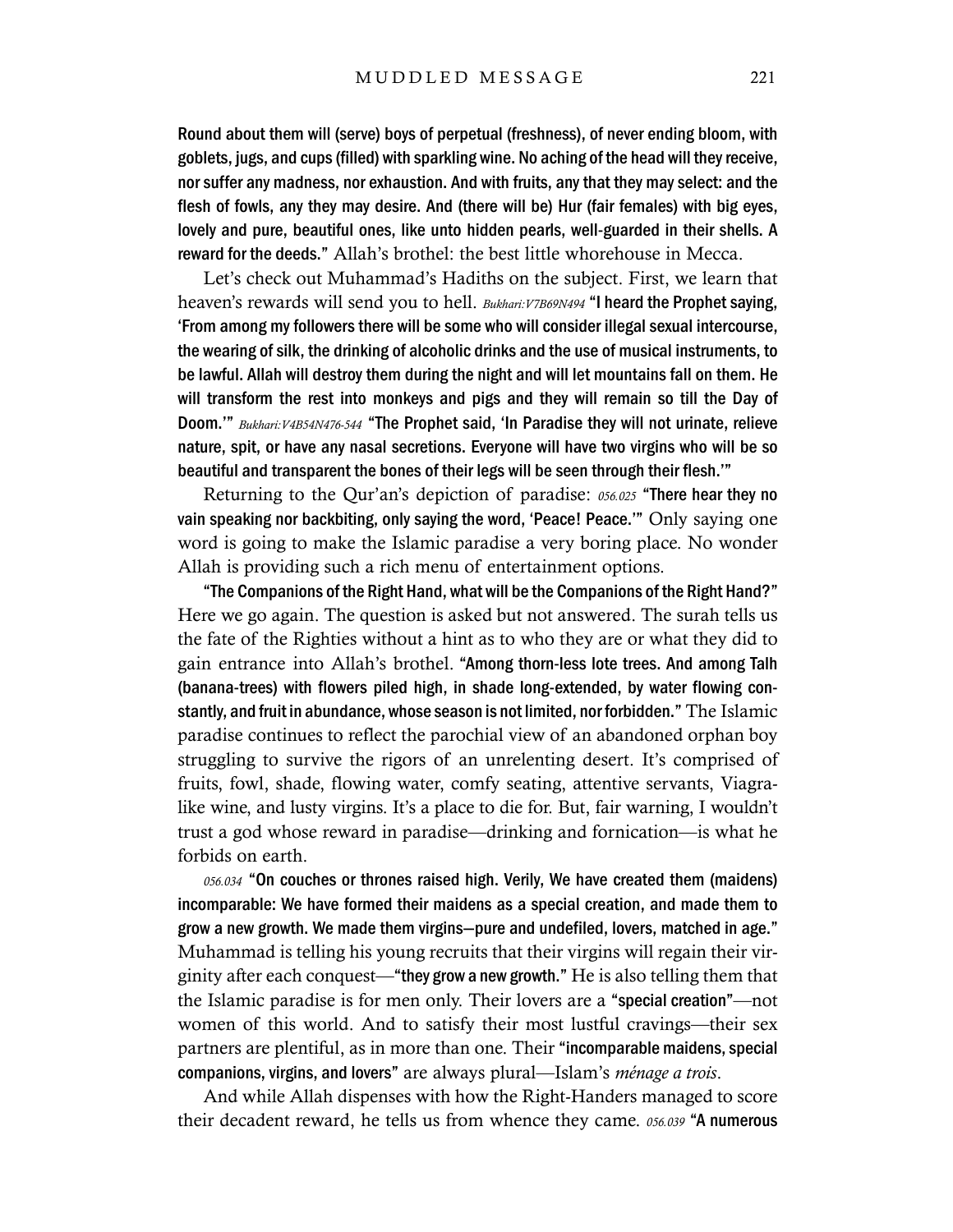Round about them will (serve) boys of perpetual (freshness), of never ending bloom, with goblets, jugs, and cups (filled) with sparkling wine. No aching of the head will they receive, nor suffer any madness, nor exhaustion. And with fruits, any that they may select: and the flesh of fowls, any they may desire. And (there will be) Hur (fair females) with big eyes, lovely and pure, beautiful ones, like unto hidden pearls, well-guarded in their shells. A reward for the deeds." Allah's brothel: the best little whorehouse in Mecca.

Let's check out Muhammad's Hadiths on the subject. First, we learn that heaven's rewards will send you to hell. *Bukhari:V7B69N494* "I heard the Prophet saying, 'From among my followers there will be some who will consider illegal sexual intercourse, the wearing of silk, the drinking of alcoholic drinks and the use of musical instruments, to be lawful. Allah will destroy them during the night and will let mountains fall on them. He will transform the rest into monkeys and pigs and they will remain so till the Day of Doom.'" *Bukhari:V4B54N476-544* "The Prophet said, 'In Paradise they will not urinate, relieve nature, spit, or have any nasal secretions. Everyone will have two virgins who will be so beautiful and transparent the bones of their legs will be seen through their flesh.'"

Returning to the Qur'an's depiction of paradise: *056.025* "There hear they no vain speaking nor backbiting, only saying the word, 'Peace! Peace.'" Only saying one word is going to make the Islamic paradise a very boring place. No wonder Allah is providing such a rich menu of entertainment options.

"The Companions of the Right Hand, what will be the Companions of the Right Hand?" Here we go again. The question is asked but not answered. The surah tells us the fate of the Righties without a hint as to who they are or what they did to gain entrance into Allah's brothel. "Among thorn-less lote trees. And among Talh (banana-trees) with flowers piled high, in shade long-extended, by water flowing constantly, and fruit in abundance, whose season is not limited, nor forbidden." The Islamic paradise continues to reflect the parochial view of an abandoned orphan boy struggling to survive the rigors of an unrelenting desert. It's comprised of fruits, fowl, shade, flowing water, comfy seating, attentive servants, Viagralike wine, and lusty virgins. It's a place to die for. But, fair warning, I wouldn't trust a god whose reward in paradise—drinking and fornication—is what he forbids on earth.

*056.034* "On couches or thrones raised high. Verily, We have created them (maidens) incomparable: We have formed their maidens as a special creation, and made them to grow a new growth. We made them virgins—pure and undefiled, lovers, matched in age." Muhammad is telling his young recruits that their virgins will regain their virginity after each conquest—"they grow a new growth." He is also telling them that the Islamic paradise is for men only. Their lovers are a "special creation"—not women of this world. And to satisfy their most lustful cravings—their sex partners are plentiful, as in more than one. Their "incomparable maidens, special companions, virgins, and lovers" are always plural—Islam's *ménage a trois*.

And while Allah dispenses with how the Right-Handers managed to score their decadent reward, he tells us from whence they came. *056.039* "A numerous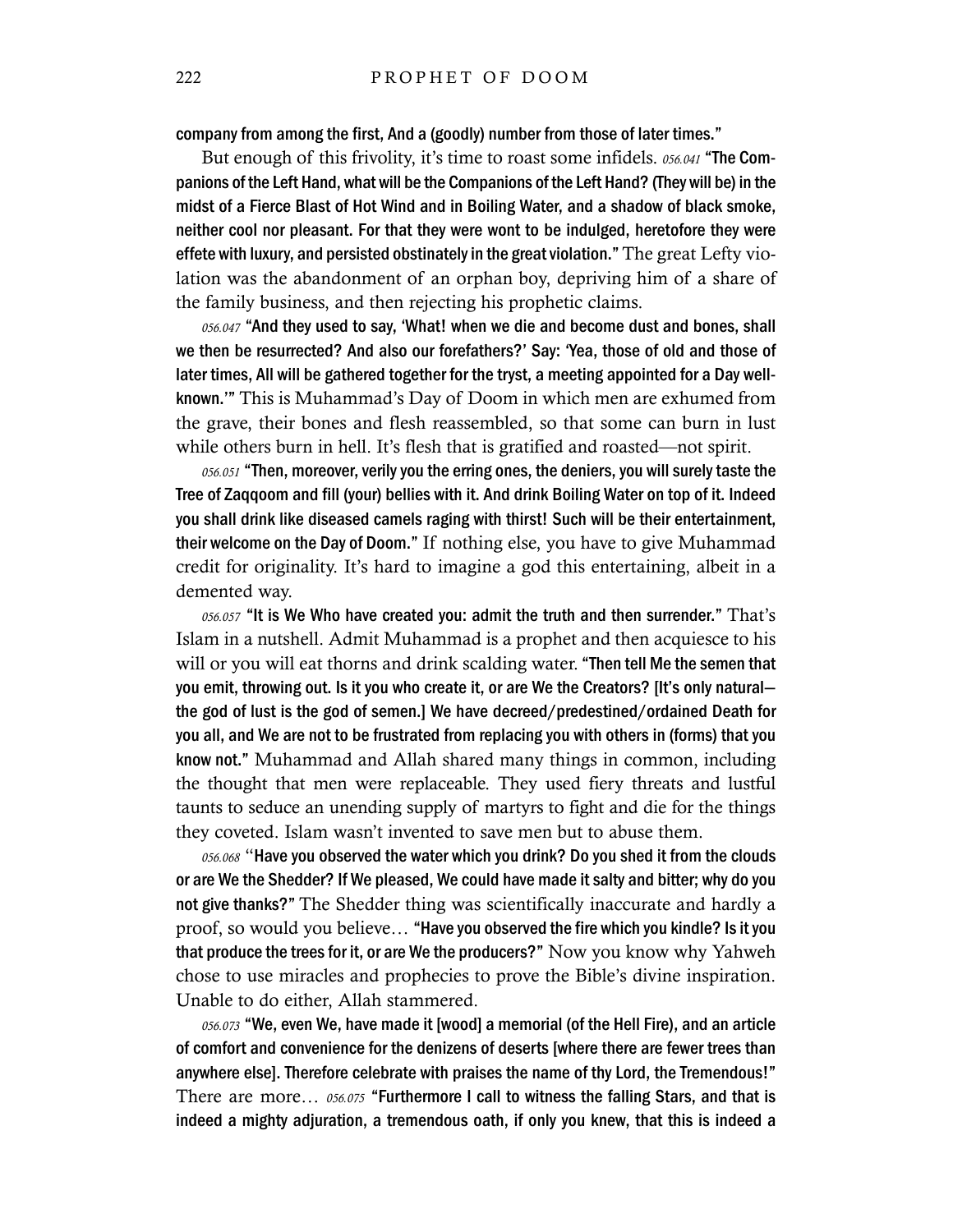company from among the first, And a (goodly) number from those of later times."

But enough of this frivolity, it's time to roast some infidels. *056.041* "The Companions of the Left Hand, what will be the Companions of the Left Hand? (They will be) in the midst of a Fierce Blast of Hot Wind and in Boiling Water, and a shadow of black smoke, neither cool nor pleasant. For that they were wont to be indulged, heretofore they were effete with luxury, and persisted obstinately in the great violation." The great Lefty violation was the abandonment of an orphan boy, depriving him of a share of the family business, and then rejecting his prophetic claims.

*056.047* "And they used to say, 'What! when we die and become dust and bones, shall we then be resurrected? And also our forefathers?' Say: 'Yea, those of old and those of later times, All will be gathered together for the tryst, a meeting appointed for a Day wellknown.'" This is Muhammad's Day of Doom in which men are exhumed from the grave, their bones and flesh reassembled, so that some can burn in lust while others burn in hell. It's flesh that is gratified and roasted—not spirit.

*056.051* "Then, moreover, verily you the erring ones, the deniers, you will surely taste the Tree of Zaqqoom and fill (your) bellies with it. And drink Boiling Water on top of it. Indeed you shall drink like diseased camels raging with thirst! Such will be their entertainment, their welcome on the Day of Doom." If nothing else, you have to give Muhammad credit for originality. It's hard to imagine a god this entertaining, albeit in a demented way.

*056.057* "It is We Who have created you: admit the truth and then surrender." That's Islam in a nutshell. Admit Muhammad is a prophet and then acquiesce to his will or you will eat thorns and drink scalding water. "Then tell Me the semen that you emit, throwing out. Is it you who create it, or are We the Creators? [It's only natural the god of lust is the god of semen.] We have decreed/predestined/ordained Death for you all, and We are not to be frustrated from replacing you with others in (forms) that you know not." Muhammad and Allah shared many things in common, including the thought that men were replaceable. They used fiery threats and lustful taunts to seduce an unending supply of martyrs to fight and die for the things they coveted. Islam wasn't invented to save men but to abuse them.

*056.068* "Have you observed the water which you drink? Do you shed it from the clouds or are We the Shedder? If We pleased, We could have made it salty and bitter; why do you not give thanks?" The Shedder thing was scientifically inaccurate and hardly a proof, so would you believe… "Have you observed the fire which you kindle? Is it you that produce the trees for it, or are We the producers?" Now you know why Yahweh chose to use miracles and prophecies to prove the Bible's divine inspiration. Unable to do either, Allah stammered.

*056.073* "We, even We, have made it [wood] a memorial (of the Hell Fire), and an article of comfort and convenience for the denizens of deserts [where there are fewer trees than anywhere else]. Therefore celebrate with praises the name of thy Lord, the Tremendous!" There are more… *056.075* "Furthermore I call to witness the falling Stars, and that is indeed a mighty adjuration, a tremendous oath, if only you knew, that this is indeed a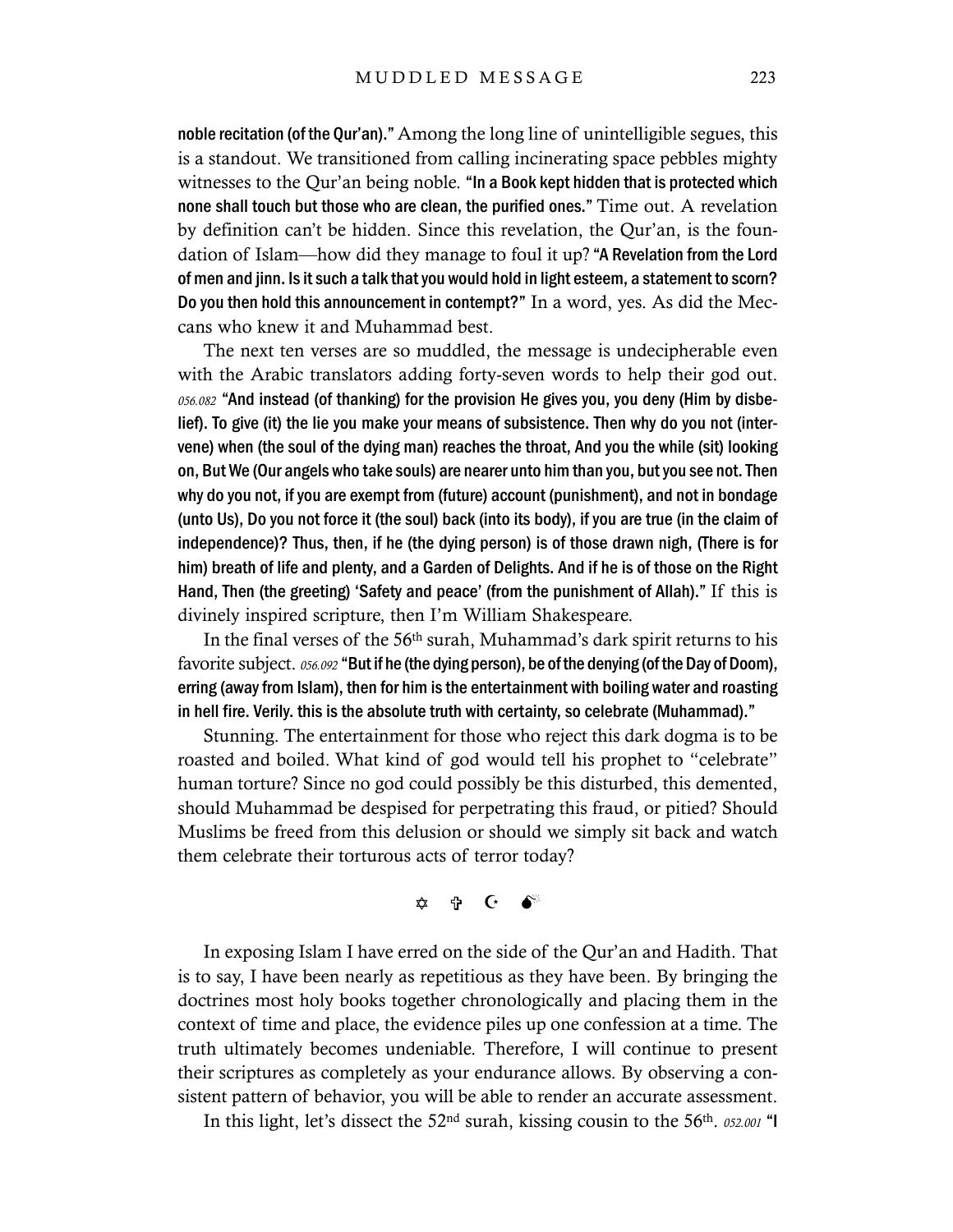noble recitation (of the Qur'an)." Among the long line of unintelligible segues, this is a standout. We transitioned from calling incinerating space pebbles mighty witnesses to the Our'an being noble. "In a Book kept hidden that is protected which none shall touch but those who are clean, the purified ones." Time out. A revelation by definition can't be hidden. Since this revelation, the Qur'an, is the foundation of Islam—how did they manage to foul it up?"A Revelation from the Lord of men and jinn. Is it such a talk that you would hold in light esteem, a statement to scorn? Do you then hold this announcement in contempt?" In a word, yes. As did the Meccans who knew it and Muhammad best.

The next ten verses are so muddled, the message is undecipherable even with the Arabic translators adding forty-seven words to help their god out. *056.082* "And instead (of thanking) for the provision He gives you, you deny (Him by disbelief). To give (it) the lie you make your means of subsistence. Then why do you not (intervene) when (the soul of the dying man) reaches the throat, And you the while (sit) looking on, But We (Our angels who take souls) are nearer unto him than you, but you see not. Then why do you not, if you are exempt from (future) account (punishment), and not in bondage (unto Us), Do you not force it (the soul) back (into its body), if you are true (in the claim of independence)? Thus, then, if he (the dying person) is of those drawn nigh, (There is for him) breath of life and plenty, and a Garden of Delights. And if he is of those on the Right Hand, Then (the greeting) 'Safety and peace' (from the punishment of Allah)." If this is divinely inspired scripture, then I'm William Shakespeare.

In the final verses of the 56th surah, Muhammad's dark spirit returns to his favorite subject. *056.092* "But if he (the dying person), be of the denying (of the Day of Doom), erring (away from Islam), then for him is the entertainment with boiling water and roasting in hell fire. Verily. this is the absolute truth with certainty, so celebrate (Muhammad)."

Stunning. The entertainment for those who reject this dark dogma is to be roasted and boiled. What kind of god would tell his prophet to "celebrate" human torture? Since no god could possibly be this disturbed, this demented, should Muhammad be despised for perpetrating this fraud, or pitied? Should Muslims be freed from this delusion or should we simply sit back and watch them celebrate their torturous acts of terror today?

**众 中 C 6<sup>%</sup>** 

In exposing Islam I have erred on the side of the Qur'an and Hadith. That is to say, I have been nearly as repetitious as they have been. By bringing the doctrines most holy books together chronologically and placing them in the context of time and place, the evidence piles up one confession at a time. The truth ultimately becomes undeniable. Therefore, I will continue to present their scriptures as completely as your endurance allows. By observing a consistent pattern of behavior, you will be able to render an accurate assessment.

In this light, let's dissect the 52nd surah, kissing cousin to the 56th. *052.001* "I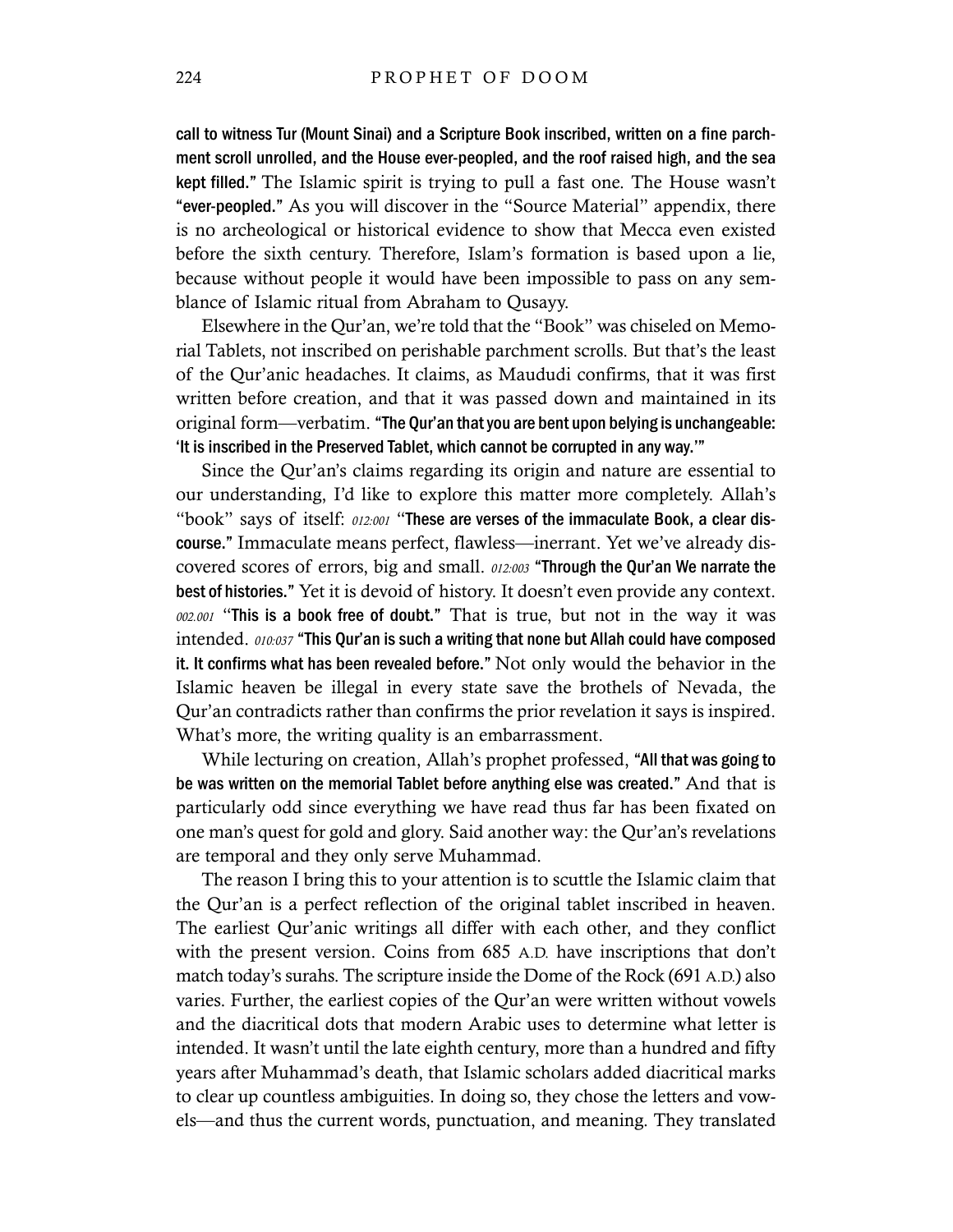call to witness Tur (Mount Sinai) and a Scripture Book inscribed, written on a fine parchment scroll unrolled, and the House ever-peopled, and the roof raised high, and the sea kept filled." The Islamic spirit is trying to pull a fast one. The House wasn't "ever-peopled." As you will discover in the "Source Material" appendix, there is no archeological or historical evidence to show that Mecca even existed before the sixth century. Therefore, Islam's formation is based upon a lie, because without people it would have been impossible to pass on any semblance of Islamic ritual from Abraham to Qusayy.

Elsewhere in the Qur'an, we're told that the "Book" was chiseled on Memorial Tablets, not inscribed on perishable parchment scrolls. But that's the least of the Qur'anic headaches. It claims, as Maududi confirms, that it was first written before creation, and that it was passed down and maintained in its original form—verbatim. "The Qur'an that you are bent upon belying is unchangeable: 'It is inscribed in the Preserved Tablet, which cannot be corrupted in any way.'"

Since the Qur'an's claims regarding its origin and nature are essential to our understanding, I'd like to explore this matter more completely. Allah's "book" says of itself: *012:001* "These are verses of the immaculate Book, a clear discourse." Immaculate means perfect, flawless—inerrant. Yet we've already discovered scores of errors, big and small. *012:003* "Through the Qur'an We narrate the best of histories." Yet it is devoid of history. It doesn't even provide any context. *002.001* "This is a book free of doubt." That is true, but not in the way it was intended. *010:037* "This Qur'an is such a writing that none but Allah could have composed it. It confirms what has been revealed before." Not only would the behavior in the Islamic heaven be illegal in every state save the brothels of Nevada, the Qur'an contradicts rather than confirms the prior revelation it says is inspired. What's more, the writing quality is an embarrassment.

While lecturing on creation, Allah's prophet professed, "All that was going to be was written on the memorial Tablet before anything else was created." And that is particularly odd since everything we have read thus far has been fixated on one man's quest for gold and glory. Said another way: the Qur'an's revelations are temporal and they only serve Muhammad.

The reason I bring this to your attention is to scuttle the Islamic claim that the Qur'an is a perfect reflection of the original tablet inscribed in heaven. The earliest Qur'anic writings all differ with each other, and they conflict with the present version. Coins from 685 A.D. have inscriptions that don't match today's surahs. The scripture inside the Dome of the Rock (691 A.D.) also varies. Further, the earliest copies of the Qur'an were written without vowels and the diacritical dots that modern Arabic uses to determine what letter is intended. It wasn't until the late eighth century, more than a hundred and fifty years after Muhammad's death, that Islamic scholars added diacritical marks to clear up countless ambiguities. In doing so, they chose the letters and vowels—and thus the current words, punctuation, and meaning. They translated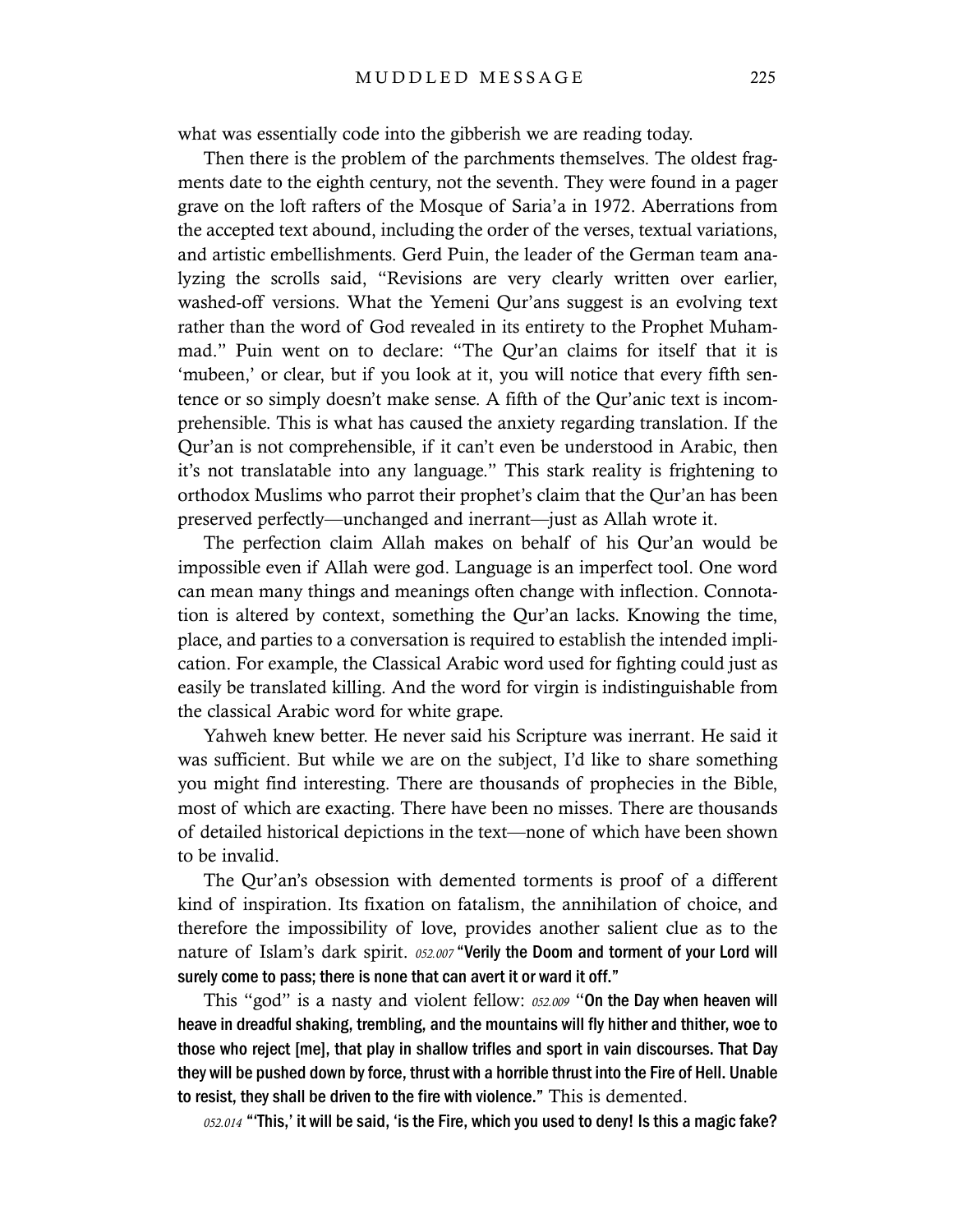what was essentially code into the gibberish we are reading today.

Then there is the problem of the parchments themselves. The oldest fragments date to the eighth century, not the seventh. They were found in a pager grave on the loft rafters of the Mosque of Saria'a in 1972. Aberrations from the accepted text abound, including the order of the verses, textual variations, and artistic embellishments. Gerd Puin, the leader of the German team analyzing the scrolls said, "Revisions are very clearly written over earlier, washed-off versions. What the Yemeni Qur'ans suggest is an evolving text rather than the word of God revealed in its entirety to the Prophet Muhammad." Puin went on to declare: "The Qur'an claims for itself that it is 'mubeen,' or clear, but if you look at it, you will notice that every fifth sentence or so simply doesn't make sense. A fifth of the Qur'anic text is incomprehensible. This is what has caused the anxiety regarding translation. If the Qur'an is not comprehensible, if it can't even be understood in Arabic, then it's not translatable into any language." This stark reality is frightening to orthodox Muslims who parrot their prophet's claim that the Qur'an has been preserved perfectly—unchanged and inerrant—just as Allah wrote it.

The perfection claim Allah makes on behalf of his Qur'an would be impossible even if Allah were god. Language is an imperfect tool. One word can mean many things and meanings often change with inflection. Connotation is altered by context, something the Qur'an lacks. Knowing the time, place, and parties to a conversation is required to establish the intended implication. For example, the Classical Arabic word used for fighting could just as easily be translated killing. And the word for virgin is indistinguishable from the classical Arabic word for white grape.

Yahweh knew better. He never said his Scripture was inerrant. He said it was sufficient. But while we are on the subject, I'd like to share something you might find interesting. There are thousands of prophecies in the Bible, most of which are exacting. There have been no misses. There are thousands of detailed historical depictions in the text—none of which have been shown to be invalid.

The Qur'an's obsession with demented torments is proof of a different kind of inspiration. Its fixation on fatalism, the annihilation of choice, and therefore the impossibility of love, provides another salient clue as to the nature of Islam's dark spirit. *052.007* "Verily the Doom and torment of your Lord will surely come to pass; there is none that can avert it or ward it off."

This "god" is a nasty and violent fellow: *052.009* "On the Day when heaven will heave in dreadful shaking, trembling, and the mountains will fly hither and thither, woe to those who reject [me], that play in shallow trifles and sport in vain discourses. That Day they will be pushed down by force, thrust with a horrible thrust into the Fire of Hell. Unable to resist, they shall be driven to the fire with violence." This is demented.

*052.014* "'This,' it will be said, 'is the Fire, which you used to deny! Is this a magic fake?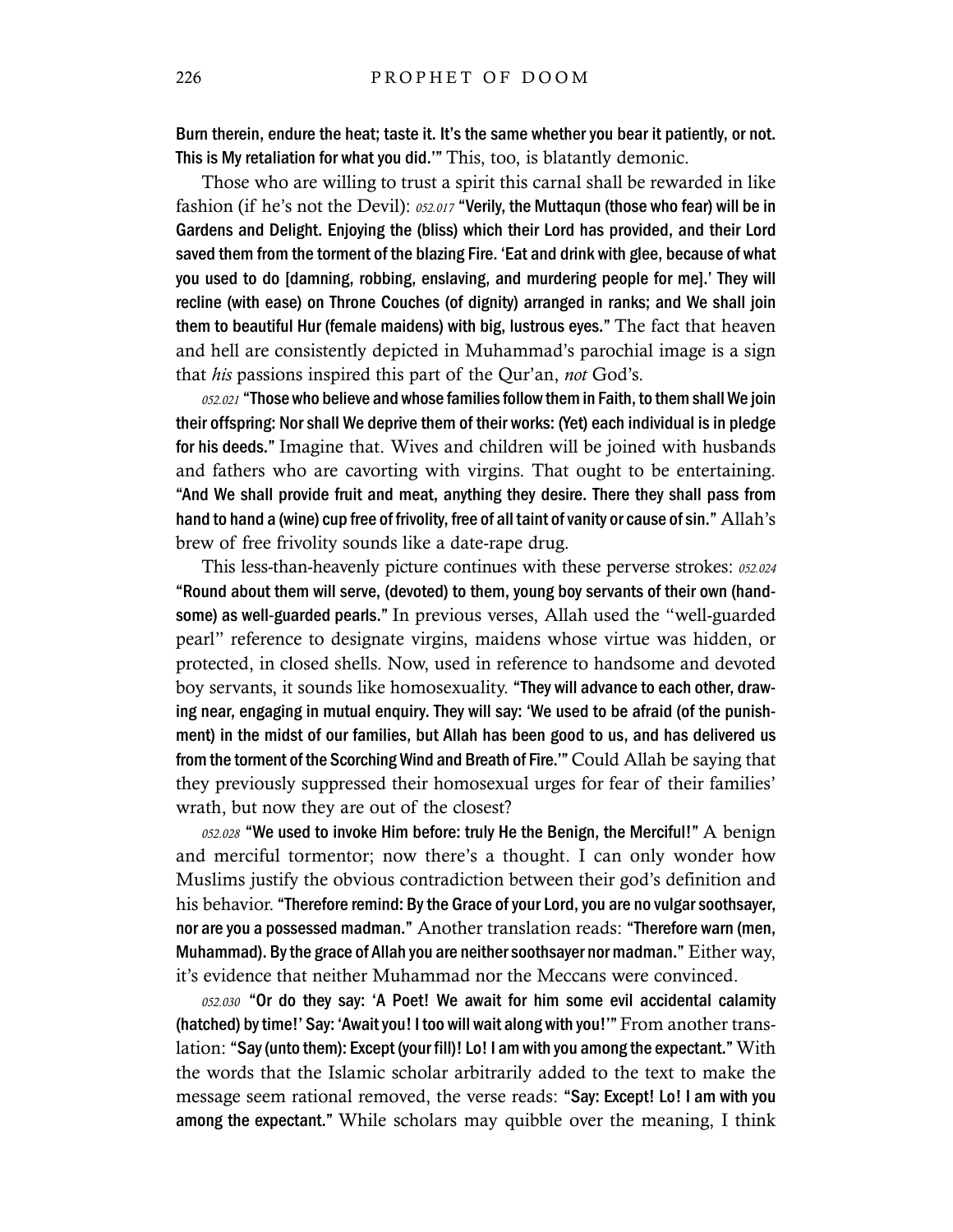Burn therein, endure the heat; taste it. It's the same whether you bear it patiently, or not. This is My retaliation for what you did.'" This, too, is blatantly demonic.

Those who are willing to trust a spirit this carnal shall be rewarded in like fashion (if he's not the Devil): *052.017* "Verily, the Muttaqun (those who fear) will be in Gardens and Delight. Enjoying the (bliss) which their Lord has provided, and their Lord saved them from the torment of the blazing Fire. 'Eat and drink with glee, because of what you used to do [damning, robbing, enslaving, and murdering people for me].' They will recline (with ease) on Throne Couches (of dignity) arranged in ranks; and We shall join them to beautiful Hur (female maidens) with big, lustrous eyes." The fact that heaven and hell are consistently depicted in Muhammad's parochial image is a sign that *his* passions inspired this part of the Qur'an, *not* God's.

*052.021* "Those who believe and whose families follow them in Faith, to them shall We join their offspring: Nor shall We deprive them of their works: (Yet) each individual is in pledge for his deeds." Imagine that. Wives and children will be joined with husbands and fathers who are cavorting with virgins. That ought to be entertaining. "And We shall provide fruit and meat, anything they desire. There they shall pass from hand to hand a (wine) cup free of frivolity, free of all taint of vanity or cause of sin." Allah's brew of free frivolity sounds like a date-rape drug.

This less-than-heavenly picture continues with these perverse strokes: *052.024* "Round about them will serve, (devoted) to them, young boy servants of their own (handsome) as well-guarded pearls." In previous verses, Allah used the "well-guarded pearl" reference to designate virgins, maidens whose virtue was hidden, or protected, in closed shells. Now, used in reference to handsome and devoted boy servants, it sounds like homosexuality. "They will advance to each other, drawing near, engaging in mutual enquiry. They will say: 'We used to be afraid (of the punishment) in the midst of our families, but Allah has been good to us, and has delivered us from the torment of the Scorching Wind and Breath of Fire.'" Could Allah be saying that they previously suppressed their homosexual urges for fear of their families' wrath, but now they are out of the closest?

*052.028* "We used to invoke Him before: truly He the Benign, the Merciful!" A benign and merciful tormentor; now there's a thought. I can only wonder how Muslims justify the obvious contradiction between their god's definition and his behavior."Therefore remind: By the Grace of your Lord, you are no vulgar soothsayer, nor are you a possessed madman." Another translation reads: "Therefore warn (men, Muhammad). By the grace of Allah you are neither soothsayer nor madman." Either way, it's evidence that neither Muhammad nor the Meccans were convinced.

*052.030* "Or do they say: 'A Poet! We await for him some evil accidental calamity (hatched) by time!' Say: 'Await you! I too will wait along with you!'" From another translation: "Say (unto them): Except (your fill)! Lo! I am with you among the expectant." With the words that the Islamic scholar arbitrarily added to the text to make the message seem rational removed, the verse reads: "Say: Except! Lo! I am with you among the expectant." While scholars may quibble over the meaning, I think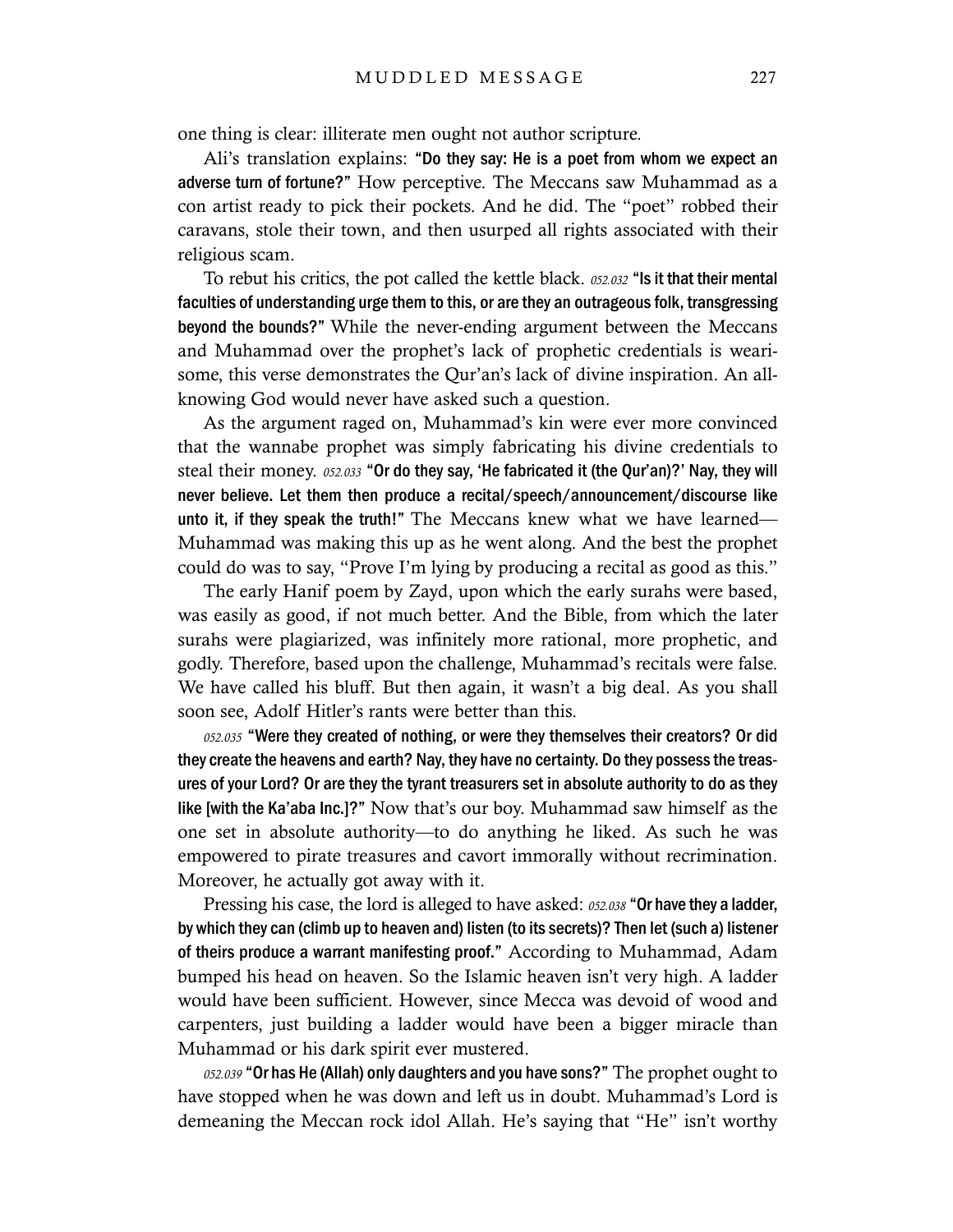one thing is clear: illiterate men ought not author scripture.

Ali's translation explains: "Do they say: He is a poet from whom we expect an adverse turn of fortune?" How perceptive. The Meccans saw Muhammad as a con artist ready to pick their pockets. And he did. The "poet" robbed their caravans, stole their town, and then usurped all rights associated with their religious scam.

To rebut his critics, the pot called the kettle black. *052.032* "Is it that their mental faculties of understanding urge them to this, or are they an outrageous folk, transgressing beyond the bounds?" While the never-ending argument between the Meccans and Muhammad over the prophet's lack of prophetic credentials is wearisome, this verse demonstrates the Qur'an's lack of divine inspiration. An allknowing God would never have asked such a question.

As the argument raged on, Muhammad's kin were ever more convinced that the wannabe prophet was simply fabricating his divine credentials to steal their money. *052.033* "Or do they say, 'He fabricated it (the Qur'an)?' Nay, they will never believe. Let them then produce a recital/speech/announcement/discourse like unto it, if they speak the truth!" The Meccans knew what we have learned— Muhammad was making this up as he went along. And the best the prophet could do was to say, "Prove I'm lying by producing a recital as good as this."

The early Hanif poem by Zayd, upon which the early surahs were based, was easily as good, if not much better. And the Bible, from which the later surahs were plagiarized, was infinitely more rational, more prophetic, and godly. Therefore, based upon the challenge, Muhammad's recitals were false. We have called his bluff. But then again, it wasn't a big deal. As you shall soon see, Adolf Hitler's rants were better than this.

*052.035* "Were they created of nothing, or were they themselves their creators? Or did they create the heavens and earth? Nay, they have no certainty. Do they possess the treasures of your Lord? Or are they the tyrant treasurers set in absolute authority to do as they like [with the Ka'aba Inc.]?" Now that's our boy. Muhammad saw himself as the one set in absolute authority—to do anything he liked. As such he was empowered to pirate treasures and cavort immorally without recrimination. Moreover, he actually got away with it.

Pressing his case, the lord is alleged to have asked: *052.038* "Or have they a ladder, by which they can (climb up to heaven and) listen (to its secrets)? Then let (such a) listener of theirs produce a warrant manifesting proof." According to Muhammad, Adam bumped his head on heaven. So the Islamic heaven isn't very high. A ladder would have been sufficient. However, since Mecca was devoid of wood and carpenters, just building a ladder would have been a bigger miracle than Muhammad or his dark spirit ever mustered.

*052.039* "Or has He (Allah) only daughters and you have sons?" The prophet ought to have stopped when he was down and left us in doubt. Muhammad's Lord is demeaning the Meccan rock idol Allah. He's saying that "He" isn't worthy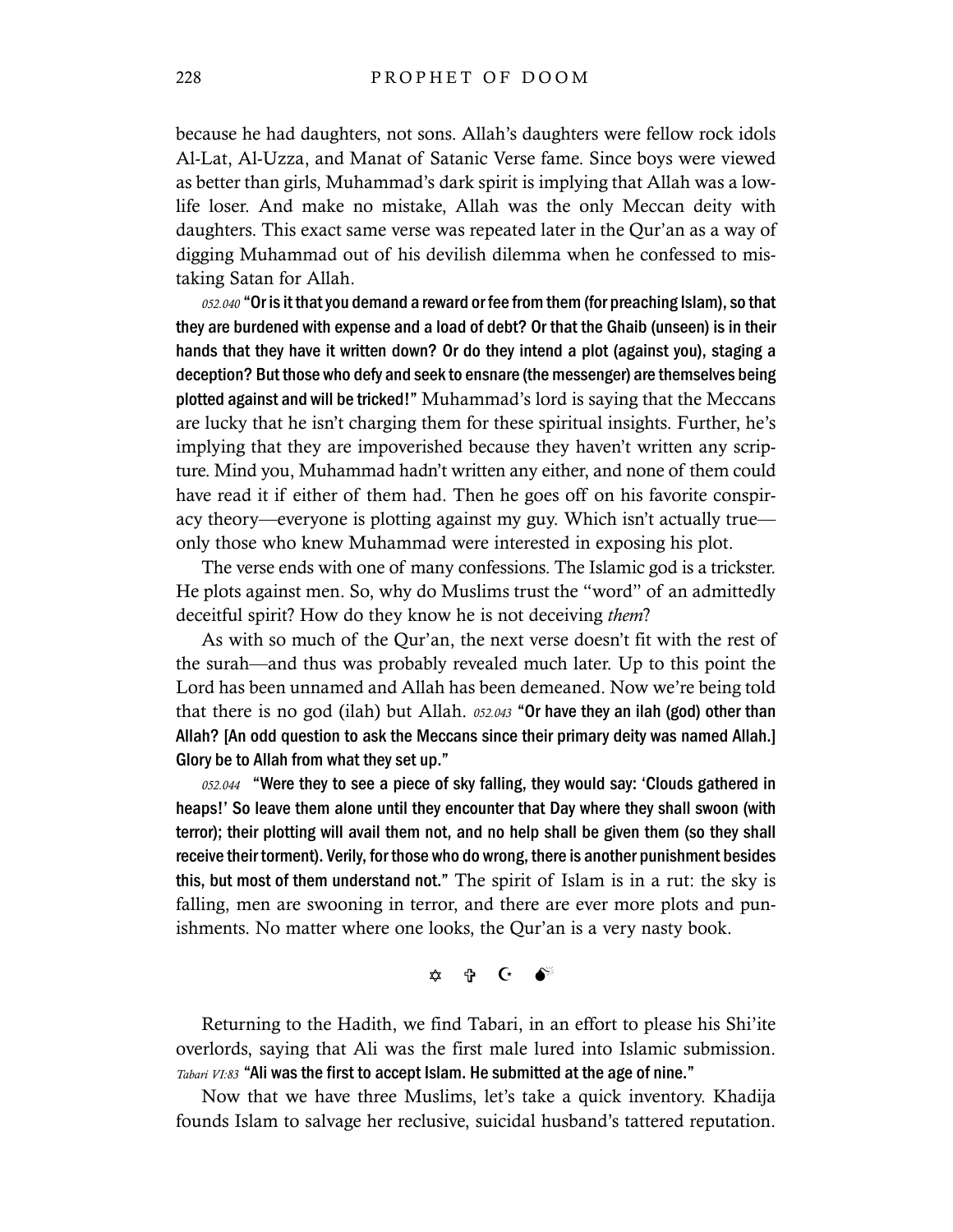because he had daughters, not sons. Allah's daughters were fellow rock idols Al-Lat, Al-Uzza, and Manat of Satanic Verse fame. Since boys were viewed as better than girls, Muhammad's dark spirit is implying that Allah was a lowlife loser. And make no mistake, Allah was the only Meccan deity with daughters. This exact same verse was repeated later in the Qur'an as a way of digging Muhammad out of his devilish dilemma when he confessed to mistaking Satan for Allah.

*052.040* "Or is it that you demand a reward or fee from them (for preaching Islam), so that they are burdened with expense and a load of debt? Or that the Ghaib (unseen) is in their hands that they have it written down? Or do they intend a plot (against you), staging a deception? But those who defy and seek to ensnare (the messenger) are themselves being plotted against and will be tricked!" Muhammad's lord is saying that the Meccans are lucky that he isn't charging them for these spiritual insights. Further, he's implying that they are impoverished because they haven't written any scripture. Mind you, Muhammad hadn't written any either, and none of them could have read it if either of them had. Then he goes off on his favorite conspiracy theory—everyone is plotting against my guy. Which isn't actually true only those who knew Muhammad were interested in exposing his plot.

The verse ends with one of many confessions. The Islamic god is a trickster. He plots against men. So, why do Muslims trust the "word" of an admittedly deceitful spirit? How do they know he is not deceiving *them*?

As with so much of the Qur'an, the next verse doesn't fit with the rest of the surah—and thus was probably revealed much later. Up to this point the Lord has been unnamed and Allah has been demeaned. Now we're being told that there is no god (ilah) but Allah. *052.043* "Or have they an ilah (god) other than Allah? [An odd question to ask the Meccans since their primary deity was named Allah.] Glory be to Allah from what they set up."

*052.044* "Were they to see a piece of sky falling, they would say: 'Clouds gathered in heaps!' So leave them alone until they encounter that Day where they shall swoon (with terror); their plotting will avail them not, and no help shall be given them (so they shall receive their torment). Verily, for those who do wrong, there is another punishment besides this, but most of them understand not." The spirit of Islam is in a rut: the sky is falling, men are swooning in terror, and there are ever more plots and punishments. No matter where one looks, the Qur'an is a very nasty book.

 $\hat{\mathbf{x}}$   $\oplus$   $\mathbf{G}$   $\cong$ 

Returning to the Hadith, we find Tabari, in an effort to please his Shi'ite overlords, saying that Ali was the first male lured into Islamic submission. *Tabari VI:83* "Ali was the first to accept Islam. He submitted at the age of nine."

Now that we have three Muslims, let's take a quick inventory. Khadija founds Islam to salvage her reclusive, suicidal husband's tattered reputation.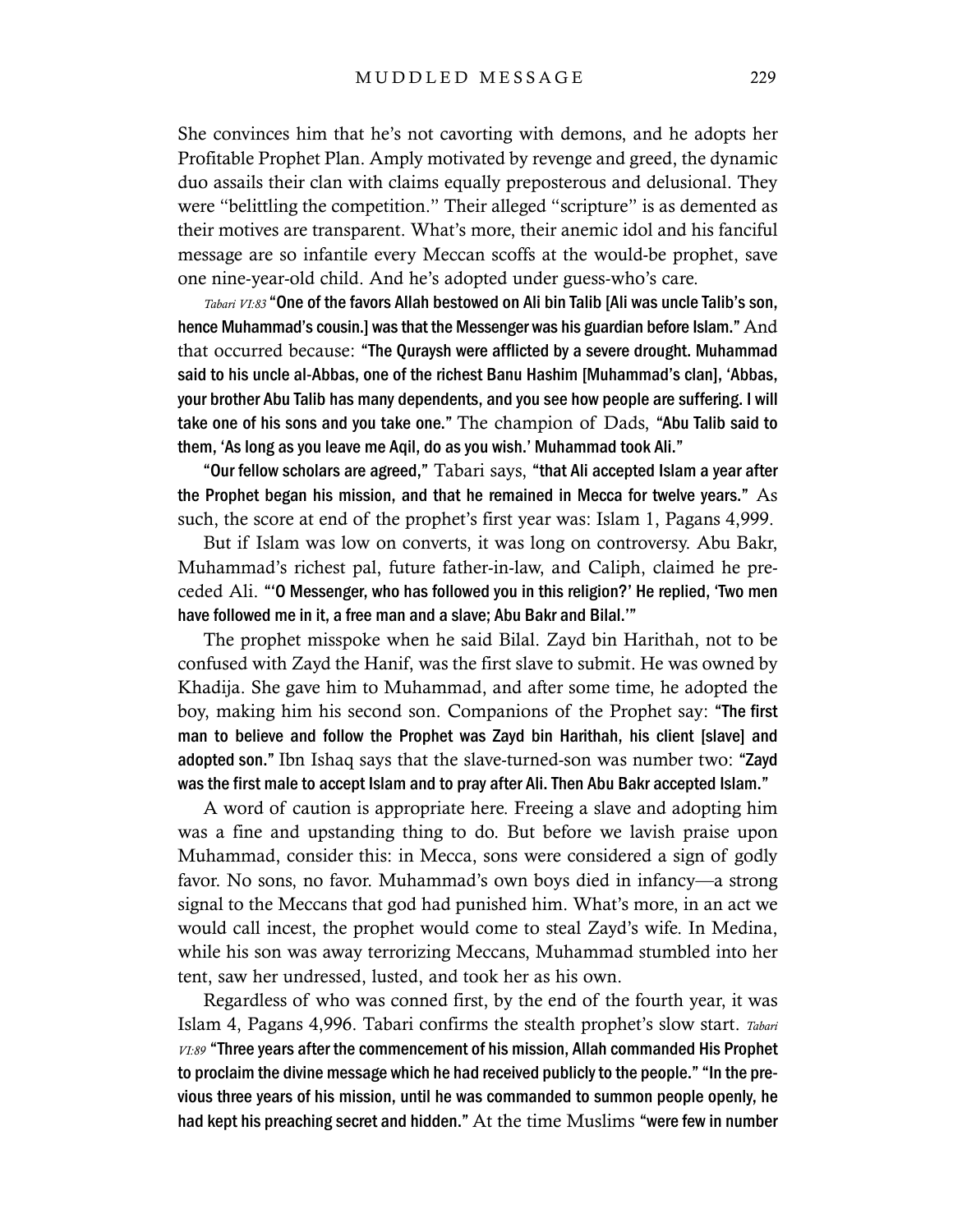She convinces him that he's not cavorting with demons, and he adopts her Profitable Prophet Plan. Amply motivated by revenge and greed, the dynamic duo assails their clan with claims equally preposterous and delusional. They were "belittling the competition." Their alleged "scripture" is as demented as their motives are transparent. What's more, their anemic idol and his fanciful message are so infantile every Meccan scoffs at the would-be prophet, save one nine-year-old child. And he's adopted under guess-who's care.

*Tabari VI:83* "One of the favors Allah bestowed on Ali bin Talib [Ali was uncle Talib's son, hence Muhammad's cousin.] was that the Messenger was his guardian before Islam." And that occurred because: "The Quraysh were afflicted by a severe drought. Muhammad said to his uncle al-Abbas, one of the richest Banu Hashim [Muhammad's clan], 'Abbas, your brother Abu Talib has many dependents, and you see how people are suffering. I will take one of his sons and you take one." The champion of Dads, "Abu Talib said to them, 'As long as you leave me Aqil, do as you wish.' Muhammad took Ali."

"Our fellow scholars are agreed," Tabari says, "that Ali accepted Islam a year after the Prophet began his mission, and that he remained in Mecca for twelve years." As such, the score at end of the prophet's first year was: Islam 1, Pagans 4,999.

But if Islam was low on converts, it was long on controversy. Abu Bakr, Muhammad's richest pal, future father-in-law, and Caliph, claimed he preceded Ali. "'O Messenger, who has followed you in this religion?' He replied, 'Two men have followed me in it, a free man and a slave; Abu Bakr and Bilal.'"

The prophet misspoke when he said Bilal. Zayd bin Harithah, not to be confused with Zayd the Hanif, was the first slave to submit. He was owned by Khadija. She gave him to Muhammad, and after some time, he adopted the boy, making him his second son. Companions of the Prophet say: "The first man to believe and follow the Prophet was Zayd bin Harithah, his client [slave] and adopted son." Ibn Ishaq says that the slave-turned-son was number two: "Zayd was the first male to accept Islam and to pray after Ali. Then Abu Bakr accepted Islam."

A word of caution is appropriate here. Freeing a slave and adopting him was a fine and upstanding thing to do. But before we lavish praise upon Muhammad, consider this: in Mecca, sons were considered a sign of godly favor. No sons, no favor. Muhammad's own boys died in infancy—a strong signal to the Meccans that god had punished him. What's more, in an act we would call incest, the prophet would come to steal Zayd's wife. In Medina, while his son was away terrorizing Meccans, Muhammad stumbled into her tent, saw her undressed, lusted, and took her as his own.

Regardless of who was conned first, by the end of the fourth year, it was Islam 4, Pagans 4,996. Tabari confirms the stealth prophet's slow start. *Tabari VI:89* "Three years after the commencement of his mission, Allah commanded His Prophet to proclaim the divine message which he had received publicly to the people." "In the previous three years of his mission, until he was commanded to summon people openly, he had kept his preaching secret and hidden." At the time Muslims "were few in number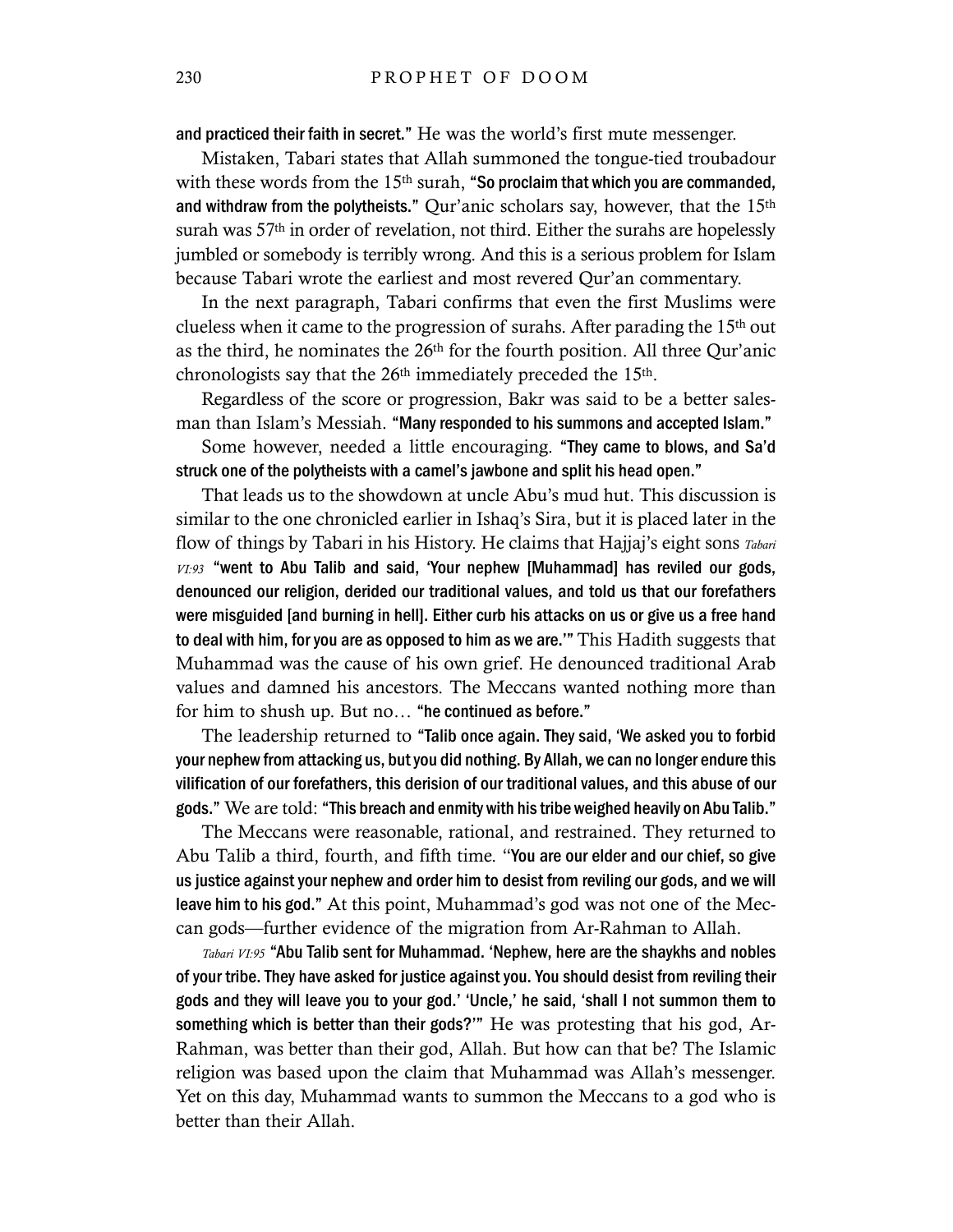and practiced their faith in secret." He was the world's first mute messenger.

Mistaken, Tabari states that Allah summoned the tongue-tied troubadour with these words from the 15<sup>th</sup> surah, "So proclaim that which you are commanded, and withdraw from the polytheists." Qur'anic scholars say, however, that the 15th surah was 57th in order of revelation, not third. Either the surahs are hopelessly jumbled or somebody is terribly wrong. And this is a serious problem for Islam because Tabari wrote the earliest and most revered Qur'an commentary.

In the next paragraph, Tabari confirms that even the first Muslims were clueless when it came to the progression of surahs. After parading the 15th out as the third, he nominates the 26th for the fourth position. All three Qur'anic chronologists say that the 26th immediately preceded the 15th.

Regardless of the score or progression, Bakr was said to be a better salesman than Islam's Messiah. "Many responded to his summons and accepted Islam."

Some however, needed a little encouraging. "They came to blows, and Sa'd struck one of the polytheists with a camel's jawbone and split his head open."

That leads us to the showdown at uncle Abu's mud hut. This discussion is similar to the one chronicled earlier in Ishaq's Sira, but it is placed later in the flow of things by Tabari in his History. He claims that Hajjaj's eight sons *Tabari VI:93* "went to Abu Talib and said, 'Your nephew [Muhammad] has reviled our gods, denounced our religion, derided our traditional values, and told us that our forefathers were misguided [and burning in hell]. Either curb his attacks on us or give us a free hand to deal with him, for you are as opposed to him as we are.'" This Hadith suggests that Muhammad was the cause of his own grief. He denounced traditional Arab values and damned his ancestors. The Meccans wanted nothing more than for him to shush up. But no… "he continued as before."

The leadership returned to "Talib once again. They said, 'We asked you to forbid your nephew from attacking us, but you did nothing. By Allah, we can no longer endure this vilification of our forefathers, this derision of our traditional values, and this abuse of our gods." We are told: "This breach and enmity with his tribe weighed heavily on Abu Talib."

The Meccans were reasonable, rational, and restrained. They returned to Abu Talib a third, fourth, and fifth time. "You are our elder and our chief, so give us justice against your nephew and order him to desist from reviling our gods, and we will leave him to his god." At this point, Muhammad's god was not one of the Meccan gods—further evidence of the migration from Ar-Rahman to Allah.

*Tabari VI:95* "Abu Talib sent for Muhammad. 'Nephew, here are the shaykhs and nobles of your tribe. They have asked for justice against you. You should desist from reviling their gods and they will leave you to your god.' 'Uncle,' he said, 'shall I not summon them to something which is better than their gods?'" He was protesting that his god, Ar-Rahman, was better than their god, Allah. But how can that be? The Islamic religion was based upon the claim that Muhammad was Allah's messenger. Yet on this day, Muhammad wants to summon the Meccans to a god who is better than their Allah.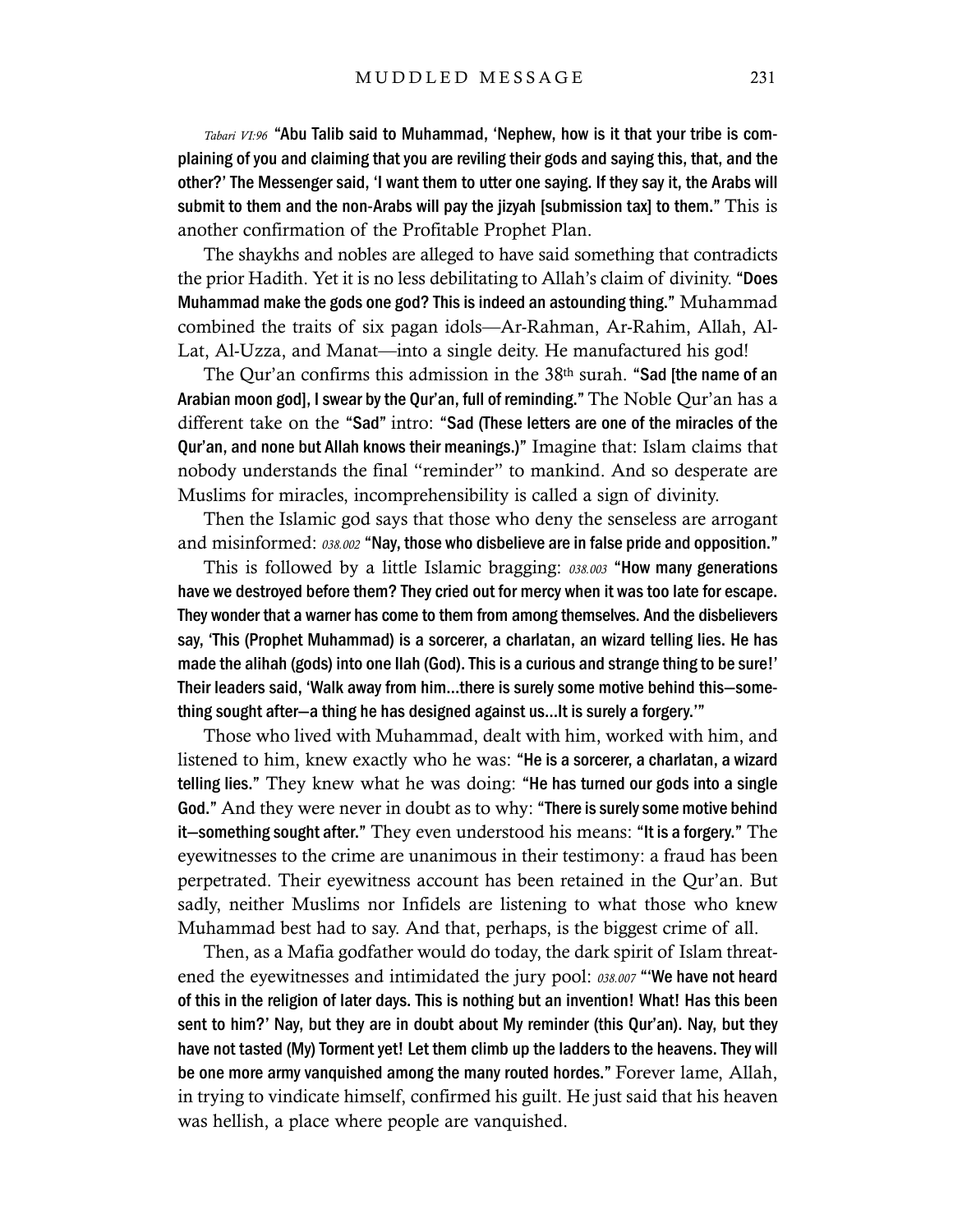*Tabari VI:96* "Abu Talib said to Muhammad, 'Nephew, how is it that your tribe is complaining of you and claiming that you are reviling their gods and saying this, that, and the other?' The Messenger said, 'I want them to utter one saying. If they say it, the Arabs will submit to them and the non-Arabs will pay the jizyah [submission tax] to them." This is another confirmation of the Profitable Prophet Plan.

The shaykhs and nobles are alleged to have said something that contradicts the prior Hadith. Yet it is no less debilitating to Allah's claim of divinity. "Does Muhammad make the gods one god? This is indeed an astounding thing." Muhammad combined the traits of six pagan idols—Ar-Rahman, Ar-Rahim, Allah, Al-Lat, Al-Uzza, and Manat—into a single deity. He manufactured his god!

The Qur'an confirms this admission in the 38<sup>th</sup> surah. "Sad [the name of an Arabian moon god], I swear by the Qur'an, full of reminding." The Noble Qur'an has a different take on the "Sad" intro: "Sad (These letters are one of the miracles of the Qur'an, and none but Allah knows their meanings.)" Imagine that: Islam claims that nobody understands the final "reminder" to mankind. And so desperate are Muslims for miracles, incomprehensibility is called a sign of divinity.

Then the Islamic god says that those who deny the senseless are arrogant and misinformed: *038.002* "Nay, those who disbelieve are in false pride and opposition."

This is followed by a little Islamic bragging: *038.003* "How many generations have we destroyed before them? They cried out for mercy when it was too late for escape. They wonder that a warner has come to them from among themselves. And the disbelievers say, 'This (Prophet Muhammad) is a sorcerer, a charlatan, an wizard telling lies. He has made the alihah (gods) into one Ilah (God). This is a curious and strange thing to be sure!' Their leaders said, 'Walk away from him…there is surely some motive behind this—something sought after—a thing he has designed against us…It is surely a forgery.'"

Those who lived with Muhammad, dealt with him, worked with him, and listened to him, knew exactly who he was: "He is a sorcerer, a charlatan, a wizard telling lies." They knew what he was doing: "He has turned our gods into a single God." And they were never in doubt as to why: "There is surely some motive behind it—something sought after." They even understood his means: "It is a forgery." The eyewitnesses to the crime are unanimous in their testimony: a fraud has been perpetrated. Their eyewitness account has been retained in the Qur'an. But sadly, neither Muslims nor Infidels are listening to what those who knew Muhammad best had to say. And that, perhaps, is the biggest crime of all.

Then, as a Mafia godfather would do today, the dark spirit of Islam threatened the eyewitnesses and intimidated the jury pool: *038.007* "'We have not heard of this in the religion of later days. This is nothing but an invention! What! Has this been sent to him?' Nay, but they are in doubt about My reminder (this Qur'an). Nay, but they have not tasted (My) Torment yet! Let them climb up the ladders to the heavens. They will be one more army vanquished among the many routed hordes." Forever lame, Allah, in trying to vindicate himself, confirmed his guilt. He just said that his heaven was hellish, a place where people are vanquished.